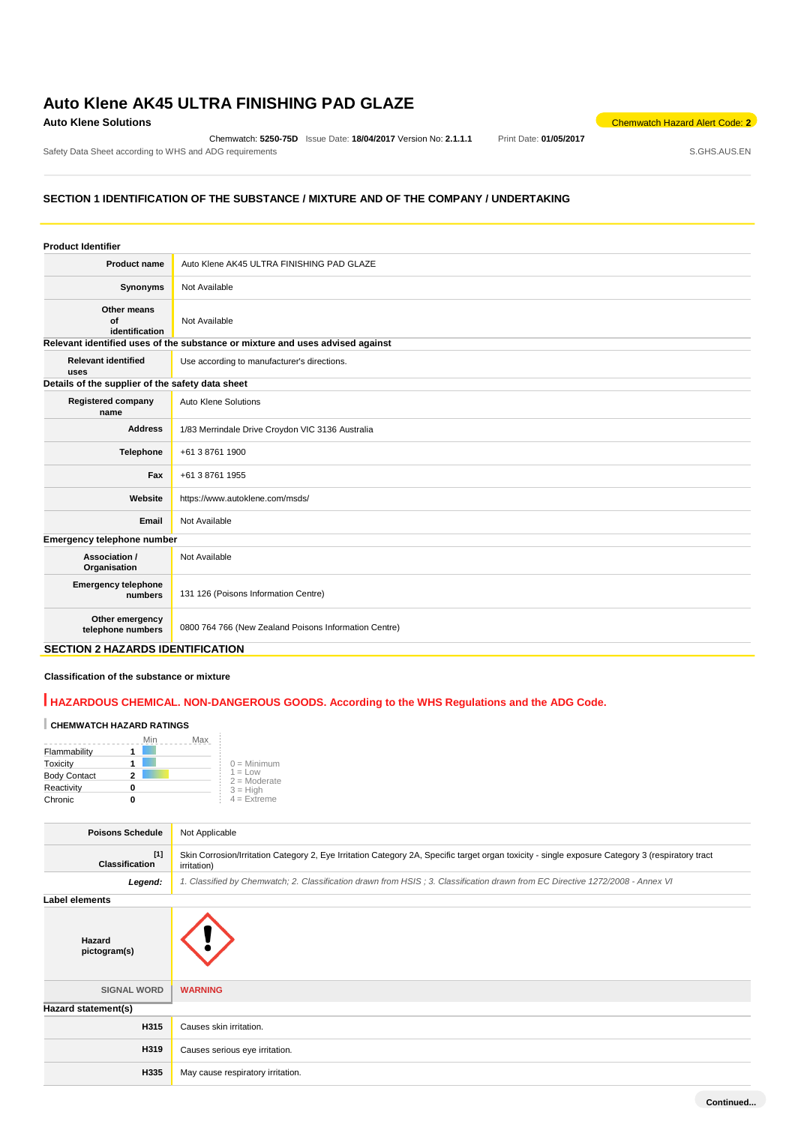# **Auto Klene AK45 ULTRA FINISHING PAD GLAZE**

Chemwatch: **5250-75D** Issue Date: **18/04/2017** Version No: **2.1.1.1** Print Date: **01/05/2017** Safety Data Sheet according to WHS and ADG requirements **Safety Data Sheet according to WHS** and ADG requirements

**Auto Klene Solutions** Chemwatch Hazard Alert Code: 2<sup>2</sup>

# **SECTION 1 IDENTIFICATION OF THE SUBSTANCE / MIXTURE AND OF THE COMPANY / UNDERTAKING**

| <b>Product Identifier</b>                        |                                                                               |
|--------------------------------------------------|-------------------------------------------------------------------------------|
| <b>Product name</b>                              | Auto Klene AK45 ULTRA FINISHING PAD GLAZE                                     |
| Synonyms                                         | Not Available                                                                 |
| Other means<br>of<br>identification              | Not Available                                                                 |
|                                                  | Relevant identified uses of the substance or mixture and uses advised against |
| <b>Relevant identified</b><br>uses               | Use according to manufacturer's directions.                                   |
| Details of the supplier of the safety data sheet |                                                                               |
| <b>Registered company</b><br>name                | Auto Klene Solutions                                                          |
| <b>Address</b>                                   | 1/83 Merrindale Drive Croydon VIC 3136 Australia                              |
| Telephone                                        | +61 3 8761 1900                                                               |
| Fax                                              | +61 3 8761 1955                                                               |
| Website                                          | https://www.autoklene.com/msds/                                               |
| Email                                            | Not Available                                                                 |
| Emergency telephone number                       |                                                                               |
| Association /<br>Organisation                    | Not Available                                                                 |
| <b>Emergency telephone</b><br>numbers            | 131 126 (Poisons Information Centre)                                          |
| Other emergency<br>telephone numbers             | 0800 764 766 (New Zealand Poisons Information Centre)                         |

# **SECTION 2 HAZARDS IDENTIFICATION**

## **Classification of the substance or mixture**

# **HAZARDOUS CHEMICAL. NON-DANGEROUS GOODS. According to the WHS Regulations and the ADG Code.**

# **CHEMWATCH HAZARD RATINGS**

|                     | Min | Max |                             |
|---------------------|-----|-----|-----------------------------|
| Flammability        |     |     |                             |
| Toxicity            |     |     | $0 =$ Minimum               |
| <b>Body Contact</b> |     |     | $1 = Low$<br>$2 =$ Moderate |
| Reactivity          |     |     | $3 = High$                  |
| Chronic             |     |     | $4 =$ Extreme               |

| <b>Poisons Schedule</b><br>Not Applicable                                                                                                |                                                                                                                                                  |  |  |
|------------------------------------------------------------------------------------------------------------------------------------------|--------------------------------------------------------------------------------------------------------------------------------------------------|--|--|
|                                                                                                                                          |                                                                                                                                                  |  |  |
| $[1]$<br><b>Classification</b><br>irritation)                                                                                            | Skin Corrosion/Irritation Category 2, Eye Irritation Category 2A, Specific target organ toxicity - single exposure Category 3 (respiratory tract |  |  |
| Legend:<br>1. Classified by Chemwatch; 2. Classification drawn from HSIS; 3. Classification drawn from EC Directive 1272/2008 - Annex VI |                                                                                                                                                  |  |  |
| <b>Label elements</b>                                                                                                                    |                                                                                                                                                  |  |  |
| Hazard<br>pictogram(s)                                                                                                                   |                                                                                                                                                  |  |  |
| <b>SIGNAL WORD</b><br><b>WARNING</b>                                                                                                     |                                                                                                                                                  |  |  |
| Hazard statement(s)                                                                                                                      |                                                                                                                                                  |  |  |
| H315<br>Causes skin irritation.                                                                                                          |                                                                                                                                                  |  |  |
| H319<br>Causes serious eye irritation.                                                                                                   |                                                                                                                                                  |  |  |
| H335<br>May cause respiratory irritation.                                                                                                |                                                                                                                                                  |  |  |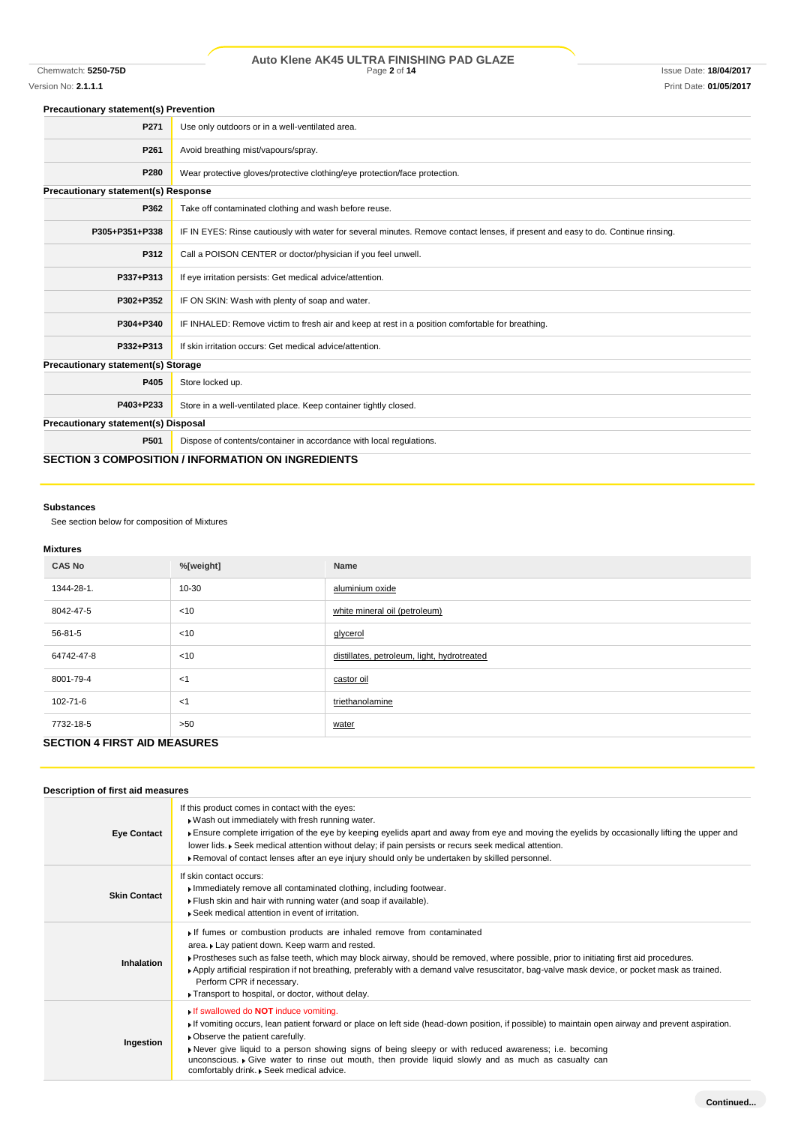# Chemwatch: **5250-75D** Page **2** of **14** Issue Date: **18/04/2017 Auto Klene AK45 ULTRA FINISHING PAD GLAZE**

# Version No: **2.1.1.1** Print Date: **01/05/2017**

## **Precautionary statement(s) Prevention**

| P271                                       | Use only outdoors or in a well-ventilated area.                                                                                  |
|--------------------------------------------|----------------------------------------------------------------------------------------------------------------------------------|
| P261                                       | Avoid breathing mist/vapours/spray.                                                                                              |
| P280                                       | Wear protective gloves/protective clothing/eye protection/face protection.                                                       |
| <b>Precautionary statement(s) Response</b> |                                                                                                                                  |
| P362                                       | Take off contaminated clothing and wash before reuse.                                                                            |
| P305+P351+P338                             | IF IN EYES: Rinse cautiously with water for several minutes. Remove contact lenses, if present and easy to do. Continue rinsing. |
| P312                                       | Call a POISON CENTER or doctor/physician if you feel unwell.                                                                     |
| P337+P313                                  | If eye irritation persists: Get medical advice/attention.                                                                        |
| P302+P352                                  | IF ON SKIN: Wash with plenty of soap and water.                                                                                  |
| P304+P340                                  | IF INHALED: Remove victim to fresh air and keep at rest in a position comfortable for breathing.                                 |
| P332+P313                                  | If skin irritation occurs: Get medical advice/attention.                                                                         |
| <b>Precautionary statement(s) Storage</b>  |                                                                                                                                  |
| P405                                       | Store locked up.                                                                                                                 |
| P403+P233                                  | Store in a well-ventilated place. Keep container tightly closed.                                                                 |
| Precautionary statement(s) Disposal        |                                                                                                                                  |
| P501                                       | Dispose of contents/container in accordance with local regulations.                                                              |
|                                            | <b>SECTION 3 COMPOSITION / INFORMATION ON INGREDIENTS</b>                                                                        |

### **Substances**

See section below for composition of Mixtures

# **Mixtures**

| <b>CAS No</b> | %[weight] | Name                                        |  |  |
|---------------|-----------|---------------------------------------------|--|--|
| 1344-28-1.    | 10-30     | aluminium oxide                             |  |  |
| 8042-47-5     | $<$ 10    | white mineral oil (petroleum)               |  |  |
| 56-81-5       | $<$ 10    | glycerol                                    |  |  |
| 64742-47-8    | $<$ 10    | distillates, petroleum, light, hydrotreated |  |  |
| 8001-79-4     | $<$ 1     | castor oil                                  |  |  |
| 102-71-6      | $<$ 1     | triethanolamine                             |  |  |
| 7732-18-5     | >50       | water                                       |  |  |
| ----------    |           |                                             |  |  |

# **SECTION 4 FIRST AID MEASURES**

## **Description of first aid measures**

| <b>Eye Contact</b>  | If this product comes in contact with the eyes:<br>. Wash out immediately with fresh running water.<br>Ensure complete irrigation of the eye by keeping eyelids apart and away from eye and moving the eyelids by occasionally lifting the upper and<br>lower lids. ▶ Seek medical attention without delay; if pain persists or recurs seek medical attention.<br>▶ Removal of contact lenses after an eye injury should only be undertaken by skilled personnel.                                 |
|---------------------|---------------------------------------------------------------------------------------------------------------------------------------------------------------------------------------------------------------------------------------------------------------------------------------------------------------------------------------------------------------------------------------------------------------------------------------------------------------------------------------------------|
| <b>Skin Contact</b> | If skin contact occurs:<br>Immediately remove all contaminated clothing, including footwear.<br>Flush skin and hair with running water (and soap if available).<br>▶ Seek medical attention in event of irritation.                                                                                                                                                                                                                                                                               |
| <b>Inhalation</b>   | If fumes or combustion products are inhaled remove from contaminated<br>area. Lay patient down. Keep warm and rested.<br>▶ Prostheses such as false teeth, which may block airway, should be removed, where possible, prior to initiating first aid procedures.<br>Apply artificial respiration if not breathing, preferably with a demand valve resuscitator, bag-valve mask device, or pocket mask as trained.<br>Perform CPR if necessary.<br>Transport to hospital, or doctor, without delay. |
| Ingestion           | If swallowed do <b>NOT</b> induce vomiting.<br>If vomiting occurs, lean patient forward or place on left side (head-down position, if possible) to maintain open airway and prevent aspiration.<br>• Observe the patient carefully.<br>▶ Never give liquid to a person showing signs of being sleepy or with reduced awareness; i.e. becoming<br>unconscious. • Give water to rinse out mouth, then provide liquid slowly and as much as casualty can<br>comfortably drink. Seek medical advice.  |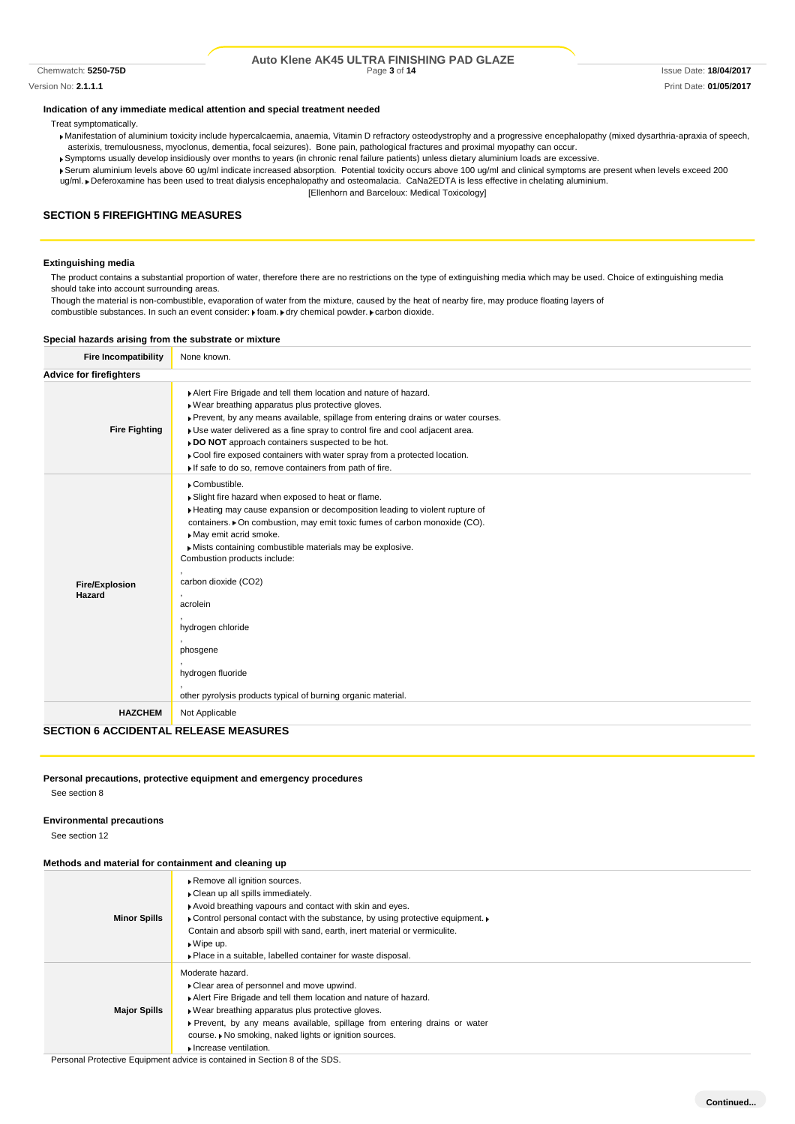#### Chemwatch: **5250-75D** Page **3** of **14** Issue Date: **18/04/2017 Auto Klene AK45 ULTRA FINISHING PAD GLAZE**

Version No: **2.1.1.1** Print Date: **01/05/2017**

### **Indication of any immediate medical attention and special treatment needed**

Treat symptomatically.

- Manifestation of aluminium toxicity include hypercalcaemia, anaemia, Vitamin D refractory osteodystrophy and a progressive encephalopathy (mixed dysarthria-apraxia of speech, asterixis, tremulousness, myoclonus, dementia, focal seizures). Bone pain, pathological fractures and proximal myopathy can occur.
- Symptoms usually develop insidiously over months to years (in chronic renal failure patients) unless dietary aluminium loads are excessive.
- Serum aluminium levels above 60 ug/ml indicate increased absorption. Potential toxicity occurs above 100 ug/ml and clinical symptoms are present when levels exceed 200 ug/ml. Deferoxamine has been used to treat dialysis encephalopathy and osteomalacia. CaNa2EDTA is less effective in chelating aluminium.
	- [Ellenhorn and Barceloux: Medical Toxicology]

# **SECTION 5 FIREFIGHTING MEASURES**

#### **Extinguishing media**

The product contains a substantial proportion of water, therefore there are no restrictions on the type of extinguishing media which may be used. Choice of extinguishing media should take into account surrounding areas.

Though the material is non-combustible, evaporation of water from the mixture, caused by the heat of nearby fire, may produce floating layers of

combustible substances. In such an event consider:  $\blacktriangleright$  foam.  $\blacktriangleright$  dry chemical powder.  $\blacktriangleright$  carbon dioxide.

#### **Special hazards arising from the substrate or mixture**

| <b>Fire Incompatibility</b>                  | None known.                                                                                                                                                                                                                                                                                                                                                                                                                                                                                                   |
|----------------------------------------------|---------------------------------------------------------------------------------------------------------------------------------------------------------------------------------------------------------------------------------------------------------------------------------------------------------------------------------------------------------------------------------------------------------------------------------------------------------------------------------------------------------------|
| <b>Advice for firefighters</b>               |                                                                                                                                                                                                                                                                                                                                                                                                                                                                                                               |
| <b>Fire Fighting</b>                         | Alert Fire Brigade and tell them location and nature of hazard.<br>▶ Wear breathing apparatus plus protective gloves.<br>Prevent, by any means available, spillage from entering drains or water courses.<br>• Use water delivered as a fine spray to control fire and cool adjacent area.<br>» DO NOT approach containers suspected to be hot.<br>Cool fire exposed containers with water spray from a protected location.<br>If safe to do so, remove containers from path of fire.                         |
| <b>Fire/Explosion</b><br>Hazard              | Combustible.<br>Slight fire hazard when exposed to heat or flame.<br>Heating may cause expansion or decomposition leading to violent rupture of<br>containers. • On combustion, may emit toxic fumes of carbon monoxide (CO).<br>May emit acrid smoke.<br>Mists containing combustible materials may be explosive.<br>Combustion products include:<br>carbon dioxide (CO2)<br>acrolein<br>hydrogen chloride<br>phosgene<br>hydrogen fluoride<br>other pyrolysis products typical of burning organic material. |
| <b>HAZCHEM</b>                               | Not Applicable                                                                                                                                                                                                                                                                                                                                                                                                                                                                                                |
| <b>SECTION 6 ACCIDENTAL RELEASE MEASURES</b> |                                                                                                                                                                                                                                                                                                                                                                                                                                                                                                               |

### **Personal precautions, protective equipment and emergency procedures**

See section 8

#### **Environmental precautions**

See section 12

#### **Methods and material for containment and cleaning up**

| <u>Methods and material for containment and clearing up</u> |                                                                                                                                                                                                                                                                                                                                                                                         |
|-------------------------------------------------------------|-----------------------------------------------------------------------------------------------------------------------------------------------------------------------------------------------------------------------------------------------------------------------------------------------------------------------------------------------------------------------------------------|
| <b>Minor Spills</b>                                         | Remove all ignition sources.<br>Clean up all spills immediately.<br>Avoid breathing vapours and contact with skin and eyes.<br>• Control personal contact with the substance, by using protective equipment.<br>Contain and absorb spill with sand, earth, inert material or vermiculite.<br>$\triangleright$ Wipe up.<br>• Place in a suitable, labelled container for waste disposal. |
| <b>Major Spills</b>                                         | Moderate hazard.<br>• Clear area of personnel and move upwind.<br>Alert Fire Brigade and tell them location and nature of hazard.<br>• Wear breathing apparatus plus protective gloves.<br>▶ Prevent, by any means available, spillage from entering drains or water<br>course. ▶ No smoking, naked lights or ignition sources.<br>Increase ventilation.                                |

Personal Protective Equipment advice is contained in Section 8 of the SDS.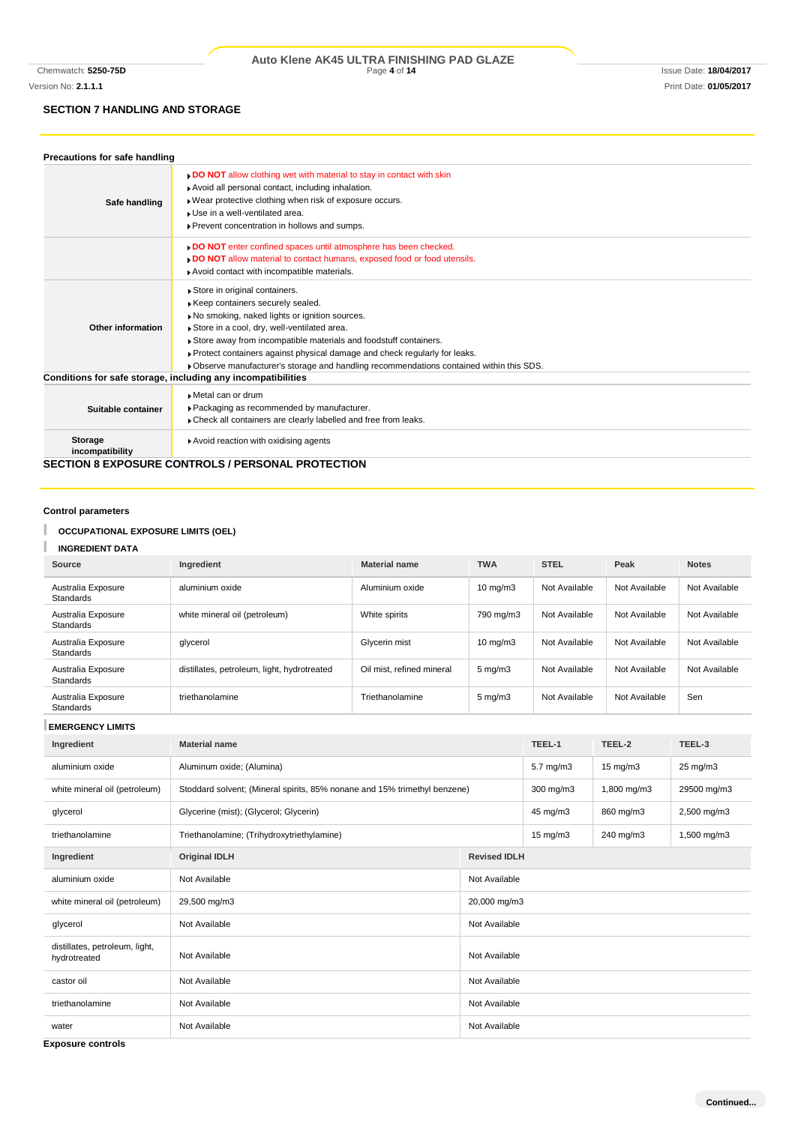# **SECTION 7 HANDLING AND STORAGE**

| Precautions for safe handling     |                                                                                                                                                                                                                                                                                                                                                                                                                  |
|-----------------------------------|------------------------------------------------------------------------------------------------------------------------------------------------------------------------------------------------------------------------------------------------------------------------------------------------------------------------------------------------------------------------------------------------------------------|
| Safe handling                     | <b>DO NOT</b> allow clothing wet with material to stay in contact with skin<br>Avoid all personal contact, including inhalation.<br>Wear protective clothing when risk of exposure occurs.<br>Luse in a well-ventilated area.<br>Prevent concentration in hollows and sumps.                                                                                                                                     |
|                                   | DO NOT enter confined spaces until atmosphere has been checked.<br>. DO NOT allow material to contact humans, exposed food or food utensils.<br>Avoid contact with incompatible materials.                                                                                                                                                                                                                       |
| Other information                 | Store in original containers.<br>Keep containers securely sealed.<br>No smoking, naked lights or ignition sources.<br>Store in a cool, dry, well-ventilated area.<br>Store away from incompatible materials and foodstuff containers.<br>▶ Protect containers against physical damage and check regularly for leaks.<br>▶ Observe manufacturer's storage and handling recommendations contained within this SDS. |
|                                   | Conditions for safe storage, including any incompatibilities                                                                                                                                                                                                                                                                                                                                                     |
| Suitable container                | Metal can or drum<br>▶ Packaging as recommended by manufacturer.<br>• Check all containers are clearly labelled and free from leaks.                                                                                                                                                                                                                                                                             |
| <b>Storage</b><br>incompatibility | Avoid reaction with oxidising agents                                                                                                                                                                                                                                                                                                                                                                             |
|                                   | <b>SECTION 8 EXPOSURE CONTROLS / PERSONAL PROTECTION</b>                                                                                                                                                                                                                                                                                                                                                         |

**Control parameters**

#### T **OCCUPATIONAL EXPOSURE LIMITS (OEL)**

I **INGREDIENT DATA**

| Source                          | <b>Ingredient</b>                           | <b>Material name</b>      | <b>TWA</b>         | <b>STEL</b>   | Peak          | <b>Notes</b>  |
|---------------------------------|---------------------------------------------|---------------------------|--------------------|---------------|---------------|---------------|
| Australia Exposure<br>Standards | aluminium oxide                             | Aluminium oxide           | $10 \text{ mg/m}$  | Not Available | Not Available | Not Available |
| Australia Exposure<br>Standards | white mineral oil (petroleum)               | White spirits             | 790 mg/m3          | Not Available | Not Available | Not Available |
| Australia Exposure<br>Standards | glycerol                                    | Glycerin mist             | $10 \text{ mg/m}$  | Not Available | Not Available | Not Available |
| Australia Exposure<br>Standards | distillates, petroleum, light, hydrotreated | Oil mist, refined mineral | $5 \text{ mg/m}$ 3 | Not Available | Not Available | Not Available |
| Australia Exposure<br>Standards | triethanolamine                             | Triethanolamine           | $5 \text{ mg/m}$ 3 | Not Available | Not Available | Sen           |

**EMERGENCY LIMITS**

| Ingredient                                     | <b>Material name</b>                                                      |               | TEEL-1            | TEEL-2            | TEEL-3              |  |
|------------------------------------------------|---------------------------------------------------------------------------|---------------|-------------------|-------------------|---------------------|--|
| aluminium oxide                                | Aluminum oxide; (Alumina)                                                 |               | $5.7$ mg/m $3$    | $15 \text{ mg/m}$ | $25 \text{ mg/m}$ 3 |  |
| white mineral oil (petroleum)                  | Stoddard solvent; (Mineral spirits, 85% nonane and 15% trimethyl benzene) |               | $300$ mg/m $3$    | 1,800 mg/m3       | 29500 mg/m3         |  |
| glycerol                                       | Glycerine (mist); (Glycerol; Glycerin)                                    |               | 45 mg/m3          | 860 mg/m3         | 2,500 mg/m3         |  |
| triethanolamine                                | Triethanolamine; (Trihydroxytriethylamine)                                |               | $15 \text{ mg/m}$ | 240 mg/m3         | 1,500 mg/m3         |  |
| Ingredient                                     | <b>Original IDLH</b><br><b>Revised IDLH</b>                               |               |                   |                   |                     |  |
| aluminium oxide                                | Not Available<br>Not Available                                            |               |                   |                   |                     |  |
| white mineral oil (petroleum)                  | 29,500 mg/m3<br>20,000 mg/m3                                              |               |                   |                   |                     |  |
| glycerol                                       | Not Available<br>Not Available                                            |               |                   |                   |                     |  |
| distillates, petroleum, light,<br>hydrotreated | Not Available<br>Not Available                                            |               |                   |                   |                     |  |
| castor oil                                     | Not Available<br>Not Available                                            |               |                   |                   |                     |  |
| triethanolamine                                | Not Available<br>Not Available                                            |               |                   |                   |                     |  |
| water                                          | Not Available                                                             | Not Available |                   |                   |                     |  |

**Exposure controls**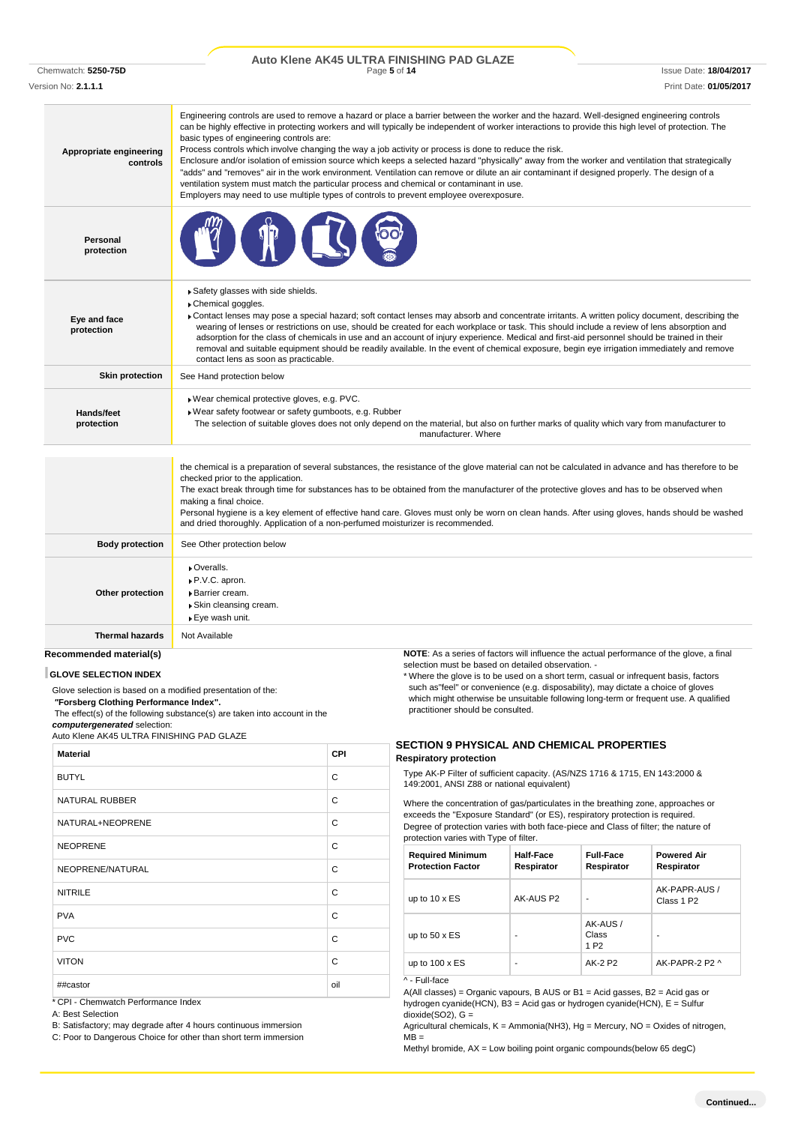|                     | Auto Klene AK45 ULTRA FINISHING PAD GLAZE |                        |
|---------------------|-------------------------------------------|------------------------|
| Chemwatch: 5250-75D | Page 5 of 14                              | Issue Date: 18/04/2017 |

Version No: **2.1.1.1** Print Date: **01/05/2017**

| Appropriate engineering<br>controls | Engineering controls are used to remove a hazard or place a barrier between the worker and the hazard. Well-designed engineering controls<br>can be highly effective in protecting workers and will typically be independent of worker interactions to provide this high level of protection. The<br>basic types of engineering controls are:<br>Process controls which involve changing the way a job activity or process is done to reduce the risk.<br>Enclosure and/or isolation of emission source which keeps a selected hazard "physically" away from the worker and ventilation that strategically<br>"adds" and "removes" air in the work environment. Ventilation can remove or dilute an air contaminant if designed properly. The design of a<br>ventilation system must match the particular process and chemical or contaminant in use.<br>Employers may need to use multiple types of controls to prevent employee overexposure. |
|-------------------------------------|-------------------------------------------------------------------------------------------------------------------------------------------------------------------------------------------------------------------------------------------------------------------------------------------------------------------------------------------------------------------------------------------------------------------------------------------------------------------------------------------------------------------------------------------------------------------------------------------------------------------------------------------------------------------------------------------------------------------------------------------------------------------------------------------------------------------------------------------------------------------------------------------------------------------------------------------------|
| Personal<br>protection              |                                                                                                                                                                                                                                                                                                                                                                                                                                                                                                                                                                                                                                                                                                                                                                                                                                                                                                                                                 |
| Eye and face<br>protection          | Safety glasses with side shields.<br>Chemical goggles.<br>Contact lenses may pose a special hazard; soft contact lenses may absorb and concentrate irritants. A written policy document, describing the<br>wearing of lenses or restrictions on use, should be created for each workplace or task. This should include a review of lens absorption and<br>adsorption for the class of chemicals in use and an account of injury experience. Medical and first-aid personnel should be trained in their<br>removal and suitable equipment should be readily available. In the event of chemical exposure, begin eye irrigation immediately and remove<br>contact lens as soon as practicable.                                                                                                                                                                                                                                                    |
| <b>Skin protection</b>              | See Hand protection below                                                                                                                                                                                                                                                                                                                                                                                                                                                                                                                                                                                                                                                                                                                                                                                                                                                                                                                       |
| Hands/feet<br>protection            | Wear chemical protective gloves, e.g. PVC.<br>▶ Wear safety footwear or safety gumboots, e.g. Rubber<br>The selection of suitable gloves does not only depend on the material, but also on further marks of quality which vary from manufacturer to<br>manufacturer. Where                                                                                                                                                                                                                                                                                                                                                                                                                                                                                                                                                                                                                                                                      |
|                                     | the chemical is a preparation of several substances, the resistance of the glove material can not be calculated in advance and has therefore to be<br>checked prior to the application.<br>The exact break through time for substances has to be obtained from the manufacturer of the protective gloves and has to be observed when<br>making a final choice.<br>Personal hygiene is a key element of effective hand care. Gloves must only be worn on clean hands. After using gloves, hands should be washed<br>and dried thoroughly. Application of a non-perfumed moisturizer is recommended.                                                                                                                                                                                                                                                                                                                                              |
| <b>Body protection</b>              | See Other protection below                                                                                                                                                                                                                                                                                                                                                                                                                                                                                                                                                                                                                                                                                                                                                                                                                                                                                                                      |
| Other protection                    | Overalls.<br>▶ P.V.C. apron.<br>Barrier cream.<br>▶ Skin cleansing cream.<br>▶ Eye wash unit.                                                                                                                                                                                                                                                                                                                                                                                                                                                                                                                                                                                                                                                                                                                                                                                                                                                   |
| <b>Thermal hazards</b>              | Not Available                                                                                                                                                                                                                                                                                                                                                                                                                                                                                                                                                                                                                                                                                                                                                                                                                                                                                                                                   |
| Recommended material(s)             | <b>NOTE:</b> As a series of factors will influence the actual performance of the glove, a final                                                                                                                                                                                                                                                                                                                                                                                                                                                                                                                                                                                                                                                                                                                                                                                                                                                 |

## **GLOVE SELECTION INDEX**

Glove selection is based on a modified presentation of the:

*"***Forsberg Clothing Performance Index".**

The effect(s) of the following substance(s) are taken into account in the *computergenerated* selection:

Auto Klene AK45 ULTRA FINISHING PAD GLAZE

| <b>Material</b>       | <b>CPI</b> |
|-----------------------|------------|
| <b>BUTYL</b>          | C          |
| <b>NATURAL RUBBER</b> | C          |
| NATURAL+NEOPRENE      | C          |
| <b>NEOPRENE</b>       | C          |
| NEOPRENE/NATURAL      | C          |
| <b>NITRILE</b>        | C          |
| <b>PVA</b>            | C          |
| <b>PVC</b>            | C          |
| <b>VITON</b>          | C          |
| ##castor              | oil        |

\* CPI - Chemwatch Performance Index

A: Best Selection

B: Satisfactory; may degrade after 4 hours continuous immersion

C: Poor to Dangerous Choice for other than short term immersion

selection must be based on detailed observation. -

\* Where the glove is to be used on a short term, casual or infrequent basis, factors such as"feel" or convenience (e.g. disposability), may dictate a choice of gloves which might otherwise be unsuitable following long-term or frequent use. A qualified practitioner should be consulted.

### **SECTION 9 PHYSICAL AND CHEMICAL PROPERTIES Respiratory protection**

Type AK-P Filter of sufficient capacity. (AS/NZS 1716 & 1715, EN 143:2000 & 149:2001, ANSI Z88 or national equivalent)

Where the concentration of gas/particulates in the breathing zone, approaches or exceeds the "Exposure Standard" (or ES), respiratory protection is required. Degree of protection varies with both face-piece and Class of filter; the nature of protection varies with Type of filter.

| <b>Required Minimum</b><br><b>Protection Factor</b> | Half-Face<br>Respirator | <b>Full-Face</b><br>Respirator       | <b>Powered Air</b><br>Respirator        |
|-----------------------------------------------------|-------------------------|--------------------------------------|-----------------------------------------|
| up to $10 \times ES$                                | AK-AUS P2               | ٠                                    | AK-PAPR-AUS /<br>Class 1 P <sub>2</sub> |
| up to $50 \times ES$                                |                         | AK-AUS/<br>Class<br>1 P <sub>2</sub> |                                         |
| up to $100 \times ES$                               |                         | AK-2 P2                              | AK-PAPR-2 P2 ^                          |

^ - Full-face

A(All classes) = Organic vapours, B AUS or B1 = Acid gasses, B2 = Acid gas or hydrogen cyanide(HCN), B3 = Acid gas or hydrogen cyanide(HCN), E = Sulfur  $dioxide(SO2)$ , G =

Agricultural chemicals,  $K =$  Ammonia(NH3), Hg = Mercury, NO = Oxides of nitrogen,  $MB =$ 

Methyl bromide, AX = Low boiling point organic compounds(below 65 degC)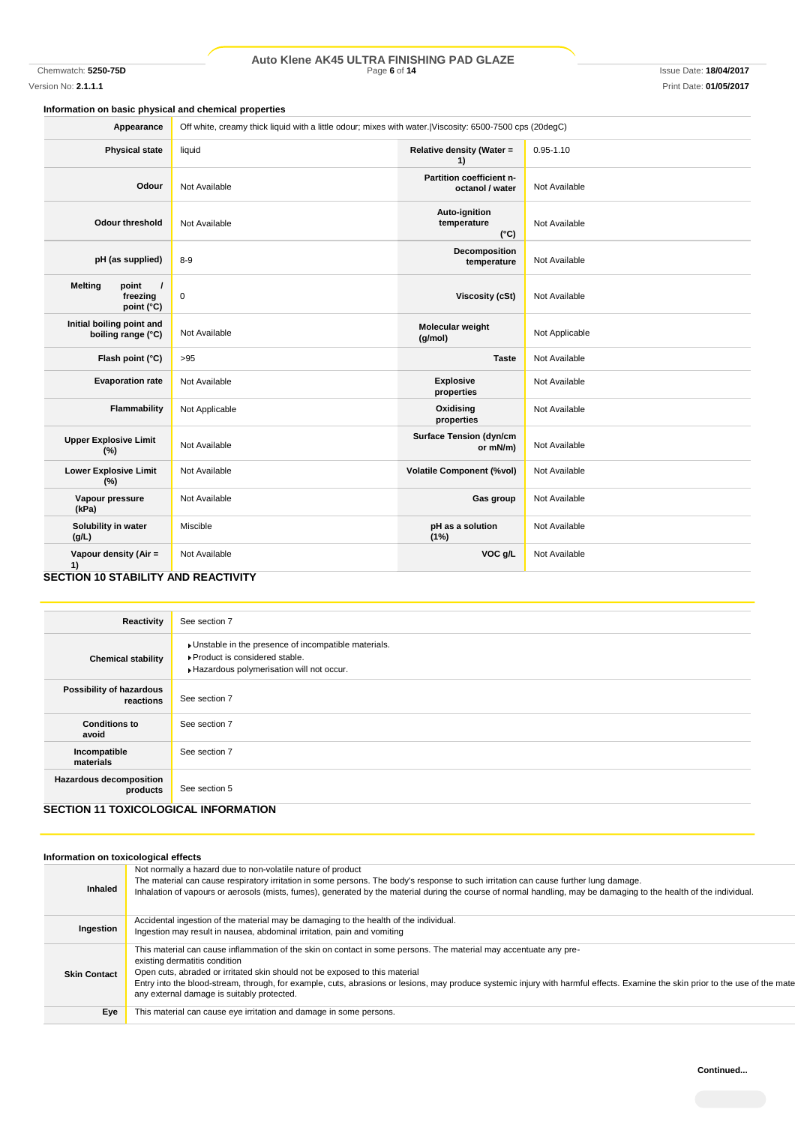# Chemwatch: **5250-75D** Page **6** of **14** Issue Date: **18/04/2017 Auto Klene AK45 ULTRA FINISHING PAD GLAZE**

Version No: **2.1.1.1** Print Date: **01/05/2017**

# **Information on basic physical and chemical properties**

| liquid<br>Relative density (Water =<br>$0.95 - 1.10$<br><b>Physical state</b><br>1)<br>Partition coefficient n-<br>Not Available<br>Odour<br>Not Available<br>octanol / water<br>Auto-ignition<br>temperature<br><b>Odour threshold</b><br>Not Available<br>Not Available<br>$(^{\circ}C)$<br>Decomposition<br>pH (as supplied)<br>$8 - 9$<br>Not Available<br>temperature<br><b>Melting</b><br>point<br>$\prime$<br>freezing<br>0<br><b>Viscosity (cSt)</b><br>Not Available<br>point (°C)<br>Initial boiling point and<br>Molecular weight<br>Not Applicable<br>Not Available<br>boiling range (°C)<br>(g/mol)<br>Flash point (°C)<br>>95<br><b>Taste</b><br>Not Available<br><b>Evaporation rate</b><br>Not Available<br><b>Explosive</b><br>Not Available |
|---------------------------------------------------------------------------------------------------------------------------------------------------------------------------------------------------------------------------------------------------------------------------------------------------------------------------------------------------------------------------------------------------------------------------------------------------------------------------------------------------------------------------------------------------------------------------------------------------------------------------------------------------------------------------------------------------------------------------------------------------------------|
|                                                                                                                                                                                                                                                                                                                                                                                                                                                                                                                                                                                                                                                                                                                                                               |
|                                                                                                                                                                                                                                                                                                                                                                                                                                                                                                                                                                                                                                                                                                                                                               |
|                                                                                                                                                                                                                                                                                                                                                                                                                                                                                                                                                                                                                                                                                                                                                               |
|                                                                                                                                                                                                                                                                                                                                                                                                                                                                                                                                                                                                                                                                                                                                                               |
|                                                                                                                                                                                                                                                                                                                                                                                                                                                                                                                                                                                                                                                                                                                                                               |
|                                                                                                                                                                                                                                                                                                                                                                                                                                                                                                                                                                                                                                                                                                                                                               |
|                                                                                                                                                                                                                                                                                                                                                                                                                                                                                                                                                                                                                                                                                                                                                               |
| properties                                                                                                                                                                                                                                                                                                                                                                                                                                                                                                                                                                                                                                                                                                                                                    |
| Flammability<br>Oxidising<br>Not Applicable<br>Not Available<br>properties                                                                                                                                                                                                                                                                                                                                                                                                                                                                                                                                                                                                                                                                                    |
| <b>Surface Tension (dyn/cm</b><br><b>Upper Explosive Limit</b><br>Not Available<br>Not Available<br>or mN/m)<br>(%)                                                                                                                                                                                                                                                                                                                                                                                                                                                                                                                                                                                                                                           |
| <b>Lower Explosive Limit</b><br><b>Volatile Component (%vol)</b><br>Not Available<br>Not Available<br>(%)                                                                                                                                                                                                                                                                                                                                                                                                                                                                                                                                                                                                                                                     |
| Vapour pressure<br>Not Available<br>Gas group<br>Not Available<br>(kPa)                                                                                                                                                                                                                                                                                                                                                                                                                                                                                                                                                                                                                                                                                       |
| Solubility in water<br>Miscible<br>pH as a solution<br>Not Available<br>(g/L)<br>(1%)                                                                                                                                                                                                                                                                                                                                                                                                                                                                                                                                                                                                                                                                         |
| VOC g/L<br>Vapour density (Air =<br>Not Available<br>Not Available<br>1)<br><b>CECTION 10 CTABILITY AND DEACTIVITY</b>                                                                                                                                                                                                                                                                                                                                                                                                                                                                                                                                                                                                                                        |

#### **SECTION 10 STABILITY AND REACTIVITY**

| Reactivity                            | See section 7                                                                                                                      |
|---------------------------------------|------------------------------------------------------------------------------------------------------------------------------------|
| <b>Chemical stability</b>             | Unstable in the presence of incompatible materials.<br>▶ Product is considered stable.<br>Hazardous polymerisation will not occur. |
| Possibility of hazardous<br>reactions | See section 7                                                                                                                      |
| <b>Conditions to</b><br>avoid         | See section 7                                                                                                                      |
| Incompatible<br>materials             | See section 7                                                                                                                      |
| Hazardous decomposition<br>products   | See section 5                                                                                                                      |
| SECTION 11 TOXICOLOGICAL INFORMATION  |                                                                                                                                    |

### **SECTION 11 TOXICOLOGICAL INFORMATION**

| Not normally a hazard due to non-volatile nature of product<br>The material can cause respiratory irritation in some persons. The body's response to such irritation can cause further lung damage.<br>Inhaled<br>Inhalation of vapours or aerosols (mists, fumes), generated by the material during the course of normal handling, may be damaging to the health of the individual.<br>Accidental ingestion of the material may be damaging to the health of the individual.<br>Ingestion<br>Ingestion may result in nausea, abdominal irritation, pain and vomiting<br>This material can cause inflammation of the skin on contact in some persons. The material may accentuate any pre-<br>existing dermatitis condition<br>Open cuts, abraded or irritated skin should not be exposed to this material<br><b>Skin Contact</b><br>any external damage is suitably protected.<br>This material can cause eye irritation and damage in some persons.<br>Eye | Information on toxicological effects |                                                                                                                                                                                |
|--------------------------------------------------------------------------------------------------------------------------------------------------------------------------------------------------------------------------------------------------------------------------------------------------------------------------------------------------------------------------------------------------------------------------------------------------------------------------------------------------------------------------------------------------------------------------------------------------------------------------------------------------------------------------------------------------------------------------------------------------------------------------------------------------------------------------------------------------------------------------------------------------------------------------------------------------------------|--------------------------------------|--------------------------------------------------------------------------------------------------------------------------------------------------------------------------------|
|                                                                                                                                                                                                                                                                                                                                                                                                                                                                                                                                                                                                                                                                                                                                                                                                                                                                                                                                                              |                                      |                                                                                                                                                                                |
|                                                                                                                                                                                                                                                                                                                                                                                                                                                                                                                                                                                                                                                                                                                                                                                                                                                                                                                                                              |                                      |                                                                                                                                                                                |
|                                                                                                                                                                                                                                                                                                                                                                                                                                                                                                                                                                                                                                                                                                                                                                                                                                                                                                                                                              |                                      | Entry into the blood-stream, through, for example, cuts, abrasions or lesions, may produce systemic injury with harmful effects. Examine the skin prior to the use of the mate |
|                                                                                                                                                                                                                                                                                                                                                                                                                                                                                                                                                                                                                                                                                                                                                                                                                                                                                                                                                              |                                      |                                                                                                                                                                                |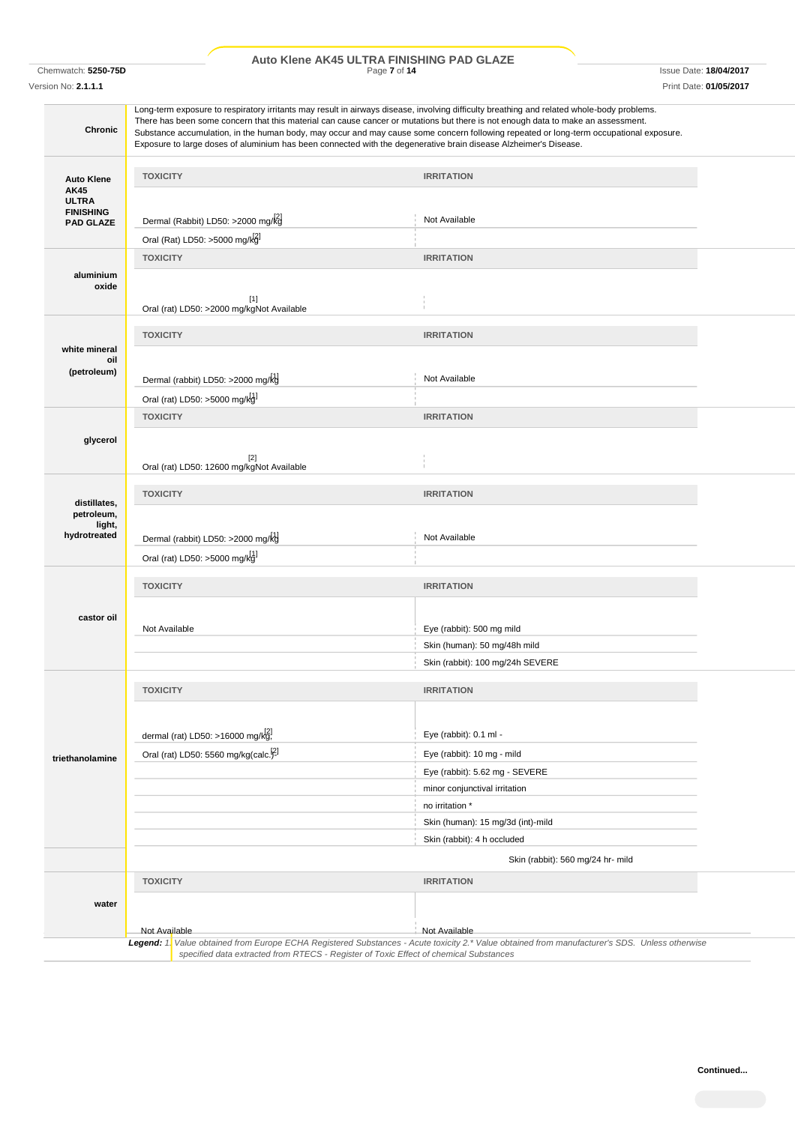# Chemwatch: **5250-75D** Page **7** of **14** Issue Date: **18/04/2017 Auto Klene AK45 ULTRA FINISHING PAD GLAZE**

Version No: **2.1.1.1** Print Date: **01/05/2017**

| <b>Chronic</b>                                                |                                                                       | Long-term exposure to respiratory irritants may result in airways disease, involving difficulty breathing and related whole-body problems.<br>There has been some concern that this material can cause cancer or mutations but there is not enough data to make an assessment.<br>Substance accumulation, in the human body, may occur and may cause some concern following repeated or long-term occupational exposure.<br>Exposure to large doses of aluminium has been connected with the degenerative brain disease Alzheimer's Disease. |  |
|---------------------------------------------------------------|-----------------------------------------------------------------------|----------------------------------------------------------------------------------------------------------------------------------------------------------------------------------------------------------------------------------------------------------------------------------------------------------------------------------------------------------------------------------------------------------------------------------------------------------------------------------------------------------------------------------------------|--|
|                                                               | <b>TOXICITY</b>                                                       | <b>IRRITATION</b>                                                                                                                                                                                                                                                                                                                                                                                                                                                                                                                            |  |
| <b>Auto Klene</b><br>AK45<br><b>ULTRA</b><br><b>FINISHING</b> |                                                                       |                                                                                                                                                                                                                                                                                                                                                                                                                                                                                                                                              |  |
| <b>PAD GLAZE</b>                                              | Dermal (Rabbit) LD50: >2000 mg/kg                                     | Not Available                                                                                                                                                                                                                                                                                                                                                                                                                                                                                                                                |  |
|                                                               | Oral (Rat) LD50: >5000 mg/kg                                          |                                                                                                                                                                                                                                                                                                                                                                                                                                                                                                                                              |  |
| aluminium<br>oxide                                            | <b>TOXICITY</b><br>$[1]$<br>Oral (rat) LD50: >2000 mg/kgNot Available | <b>IRRITATION</b>                                                                                                                                                                                                                                                                                                                                                                                                                                                                                                                            |  |
|                                                               | <b>TOXICITY</b>                                                       | <b>IRRITATION</b>                                                                                                                                                                                                                                                                                                                                                                                                                                                                                                                            |  |
| white mineral                                                 |                                                                       |                                                                                                                                                                                                                                                                                                                                                                                                                                                                                                                                              |  |
| oil<br>(petroleum)                                            | Dermal (rabbit) LD50: >2000 mg/kg                                     | Not Available                                                                                                                                                                                                                                                                                                                                                                                                                                                                                                                                |  |
|                                                               | Oral (rat) LD50: >5000 mg/kd]                                         |                                                                                                                                                                                                                                                                                                                                                                                                                                                                                                                                              |  |
|                                                               | <b>TOXICITY</b>                                                       | <b>IRRITATION</b>                                                                                                                                                                                                                                                                                                                                                                                                                                                                                                                            |  |
| glycerol                                                      |                                                                       |                                                                                                                                                                                                                                                                                                                                                                                                                                                                                                                                              |  |
|                                                               | $[2]$<br>Oral (rat) LD50: 12600 mg/kgNot Available                    |                                                                                                                                                                                                                                                                                                                                                                                                                                                                                                                                              |  |
|                                                               | <b>TOXICITY</b>                                                       | <b>IRRITATION</b>                                                                                                                                                                                                                                                                                                                                                                                                                                                                                                                            |  |
| distillates,<br>petroleum,                                    |                                                                       |                                                                                                                                                                                                                                                                                                                                                                                                                                                                                                                                              |  |
| light,<br>hydrotreated                                        |                                                                       |                                                                                                                                                                                                                                                                                                                                                                                                                                                                                                                                              |  |
|                                                               | Dermal (rabbit) LD50: >2000 mg/kg                                     | Not Available                                                                                                                                                                                                                                                                                                                                                                                                                                                                                                                                |  |
|                                                               | Oral (rat) LD50: >5000 mg/kg                                          |                                                                                                                                                                                                                                                                                                                                                                                                                                                                                                                                              |  |
|                                                               | <b>TOXICITY</b>                                                       | <b>IRRITATION</b>                                                                                                                                                                                                                                                                                                                                                                                                                                                                                                                            |  |
|                                                               |                                                                       |                                                                                                                                                                                                                                                                                                                                                                                                                                                                                                                                              |  |
| castor oil                                                    | Not Available                                                         | Eye (rabbit): 500 mg mild                                                                                                                                                                                                                                                                                                                                                                                                                                                                                                                    |  |
|                                                               |                                                                       | Skin (human): 50 mg/48h mild                                                                                                                                                                                                                                                                                                                                                                                                                                                                                                                 |  |
|                                                               |                                                                       | Skin (rabbit): 100 mg/24h SEVERE                                                                                                                                                                                                                                                                                                                                                                                                                                                                                                             |  |
|                                                               | <b>TOXICITY</b>                                                       | <b>IRRITATION</b>                                                                                                                                                                                                                                                                                                                                                                                                                                                                                                                            |  |
|                                                               |                                                                       |                                                                                                                                                                                                                                                                                                                                                                                                                                                                                                                                              |  |
|                                                               | dermal (rat) LD50: >16000 mg/kg!                                      | Eye (rabbit): 0.1 ml -                                                                                                                                                                                                                                                                                                                                                                                                                                                                                                                       |  |
|                                                               | Oral (rat) LD50: 5560 mg/kg(calc. <sup>[2]</sup>                      | Eye (rabbit): 10 mg - mild                                                                                                                                                                                                                                                                                                                                                                                                                                                                                                                   |  |
| triethanolamine                                               |                                                                       | Eye (rabbit): 5.62 mg - SEVERE                                                                                                                                                                                                                                                                                                                                                                                                                                                                                                               |  |
|                                                               |                                                                       | minor conjunctival irritation                                                                                                                                                                                                                                                                                                                                                                                                                                                                                                                |  |
|                                                               |                                                                       | no irritation *                                                                                                                                                                                                                                                                                                                                                                                                                                                                                                                              |  |
|                                                               |                                                                       | Skin (human): 15 mg/3d (int)-mild                                                                                                                                                                                                                                                                                                                                                                                                                                                                                                            |  |
|                                                               |                                                                       | Skin (rabbit): 4 h occluded                                                                                                                                                                                                                                                                                                                                                                                                                                                                                                                  |  |
|                                                               |                                                                       | Skin (rabbit): 560 mg/24 hr- mild                                                                                                                                                                                                                                                                                                                                                                                                                                                                                                            |  |
|                                                               | <b>TOXICITY</b>                                                       | <b>IRRITATION</b>                                                                                                                                                                                                                                                                                                                                                                                                                                                                                                                            |  |
| water                                                         |                                                                       |                                                                                                                                                                                                                                                                                                                                                                                                                                                                                                                                              |  |
|                                                               |                                                                       |                                                                                                                                                                                                                                                                                                                                                                                                                                                                                                                                              |  |
|                                                               | Not Available                                                         | Not Available<br>Legend: 1. Value obtained from Europe ECHA Registered Substances - Acute toxicity 2.* Value obtained from manufacturer's SDS. Unless otherwise                                                                                                                                                                                                                                                                                                                                                                              |  |
|                                                               |                                                                       | specified data extracted from RTECS - Register of Toxic Effect of chemical Substances                                                                                                                                                                                                                                                                                                                                                                                                                                                        |  |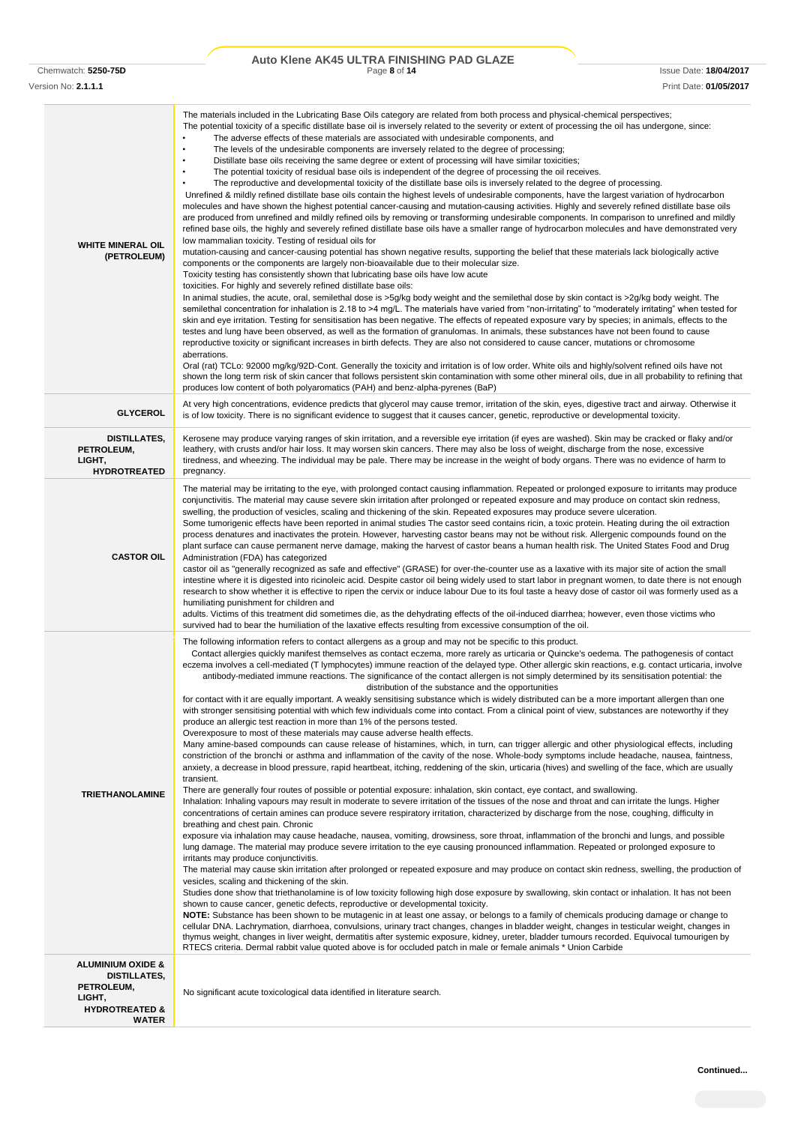# Chemwatch: **5250-75D** Page **8** of **14** Issue Date: **18/04/2017 Auto Klene AK45 ULTRA FINISHING PAD GLAZE**

Version No: **2.1.1.1** Print Date: **01/05/2017**

| <b>WHITE MINERAL OIL</b><br>(PETROLEUM)                                                                                  | The materials included in the Lubricating Base Oils category are related from both process and physical-chemical perspectives;<br>The potential toxicity of a specific distillate base oil is inversely related to the severity or extent of processing the oil has undergone, since:<br>The adverse effects of these materials are associated with undesirable components, and<br>The levels of the undesirable components are inversely related to the degree of processing;<br>Distillate base oils receiving the same degree or extent of processing will have similar toxicities;<br>The potential toxicity of residual base oils is independent of the degree of processing the oil receives.<br>The reproductive and developmental toxicity of the distillate base oils is inversely related to the degree of processing.<br>Unrefined & mildly refined distillate base oils contain the highest levels of undesirable components, have the largest variation of hydrocarbon<br>molecules and have shown the highest potential cancer-causing and mutation-causing activities. Highly and severely refined distillate base oils<br>are produced from unrefined and mildly refined oils by removing or transforming undesirable components. In comparison to unrefined and mildly<br>refined base oils, the highly and severely refined distillate base oils have a smaller range of hydrocarbon molecules and have demonstrated very<br>low mammalian toxicity. Testing of residual oils for<br>mutation-causing and cancer-causing potential has shown negative results, supporting the belief that these materials lack biologically active<br>components or the components are largely non-bioavailable due to their molecular size.<br>Toxicity testing has consistently shown that lubricating base oils have low acute<br>toxicities. For highly and severely refined distillate base oils:<br>In animal studies, the acute, oral, semilethal dose is >5g/kg body weight and the semilethal dose by skin contact is >2g/kg body weight. The<br>semilethal concentration for inhalation is 2.18 to >4 mg/L. The materials have varied from "non-irritating" to "moderately irritating" when tested for<br>skin and eye irritation. Testing for sensitisation has been negative. The effects of repeated exposure vary by species; in animals, effects to the<br>testes and lung have been observed, as well as the formation of granulomas. In animals, these substances have not been found to cause<br>reproductive toxicity or significant increases in birth defects. They are also not considered to cause cancer, mutations or chromosome<br>aberrations.<br>Oral (rat) TCLo: 92000 mg/kg/92D-Cont. Generally the toxicity and irritation is of low order. White oils and highly/solvent refined oils have not<br>shown the long term risk of skin cancer that follows persistent skin contamination with some other mineral oils, due in all probability to refining that<br>produces low content of both polyaromatics (PAH) and benz-alpha-pyrenes (BaP)                                                                                                                                                                                                                                                                                                   |
|--------------------------------------------------------------------------------------------------------------------------|---------------------------------------------------------------------------------------------------------------------------------------------------------------------------------------------------------------------------------------------------------------------------------------------------------------------------------------------------------------------------------------------------------------------------------------------------------------------------------------------------------------------------------------------------------------------------------------------------------------------------------------------------------------------------------------------------------------------------------------------------------------------------------------------------------------------------------------------------------------------------------------------------------------------------------------------------------------------------------------------------------------------------------------------------------------------------------------------------------------------------------------------------------------------------------------------------------------------------------------------------------------------------------------------------------------------------------------------------------------------------------------------------------------------------------------------------------------------------------------------------------------------------------------------------------------------------------------------------------------------------------------------------------------------------------------------------------------------------------------------------------------------------------------------------------------------------------------------------------------------------------------------------------------------------------------------------------------------------------------------------------------------------------------------------------------------------------------------------------------------------------------------------------------------------------------------------------------------------------------------------------------------------------------------------------------------------------------------------------------------------------------------------------------------------------------------------------------------------------------------------------------------------------------------------------------------------------------------------------------------------------------------------------------------------------------------------------------------------------------------------------------------------------------------------------------------------------------------------------------------------------------------------------------------------------------------------------------------------------------------------------------------------------------------------------------------------------------------------------------------------------------------------------------------------------------------------------------------------------------------------------------------------------------------------------------------------------------------------------------------------------|
| <b>GLYCEROL</b>                                                                                                          | At very high concentrations, evidence predicts that glycerol may cause tremor, irritation of the skin, eyes, digestive tract and airway. Otherwise it<br>is of low toxicity. There is no significant evidence to suggest that it causes cancer, genetic, reproductive or developmental toxicity.                                                                                                                                                                                                                                                                                                                                                                                                                                                                                                                                                                                                                                                                                                                                                                                                                                                                                                                                                                                                                                                                                                                                                                                                                                                                                                                                                                                                                                                                                                                                                                                                                                                                                                                                                                                                                                                                                                                                                                                                                                                                                                                                                                                                                                                                                                                                                                                                                                                                                                                                                                                                                                                                                                                                                                                                                                                                                                                                                                                                                                                                                |
| DISTILLATES,<br>PETROLEUM,<br>LIGHT,<br><b>HYDROTREATED</b>                                                              | Kerosene may produce varying ranges of skin irritation, and a reversible eye irritation (if eyes are washed). Skin may be cracked or flaky and/or<br>leathery, with crusts and/or hair loss. It may worsen skin cancers. There may also be loss of weight, discharge from the nose, excessive<br>tiredness, and wheezing. The individual may be pale. There may be increase in the weight of body organs. There was no evidence of harm to<br>pregnancy.                                                                                                                                                                                                                                                                                                                                                                                                                                                                                                                                                                                                                                                                                                                                                                                                                                                                                                                                                                                                                                                                                                                                                                                                                                                                                                                                                                                                                                                                                                                                                                                                                                                                                                                                                                                                                                                                                                                                                                                                                                                                                                                                                                                                                                                                                                                                                                                                                                                                                                                                                                                                                                                                                                                                                                                                                                                                                                                        |
| <b>CASTOR OIL</b>                                                                                                        | The material may be irritating to the eye, with prolonged contact causing inflammation. Repeated or prolonged exposure to irritants may produce<br>conjunctivitis. The material may cause severe skin irritation after prolonged or repeated exposure and may produce on contact skin redness,<br>swelling, the production of vesicles, scaling and thickening of the skin. Repeated exposures may produce severe ulceration.<br>Some tumorigenic effects have been reported in animal studies The castor seed contains ricin, a toxic protein. Heating during the oil extraction<br>process denatures and inactivates the protein. However, harvesting castor beans may not be without risk. Allergenic compounds found on the<br>plant surface can cause permanent nerve damage, making the harvest of castor beans a human health risk. The United States Food and Drug<br>Administration (FDA) has categorized<br>castor oil as "generally recognized as safe and effective" (GRASE) for over-the-counter use as a laxative with its major site of action the small<br>intestine where it is digested into ricinoleic acid. Despite castor oil being widely used to start labor in pregnant women, to date there is not enough<br>research to show whether it is effective to ripen the cervix or induce labour Due to its foul taste a heavy dose of castor oil was formerly used as a<br>humiliating punishment for children and<br>adults. Victims of this treatment did sometimes die, as the dehydrating effects of the oil-induced diarrhea; however, even those victims who<br>survived had to bear the humiliation of the laxative effects resulting from excessive consumption of the oil.                                                                                                                                                                                                                                                                                                                                                                                                                                                                                                                                                                                                                                                                                                                                                                                                                                                                                                                                                                                                                                                                                                                                                                                                                                                                                                                                                                                                                                                                                                                                                                                                                                                                         |
| <b>TRIETHANOLAMINE</b>                                                                                                   | The following information refers to contact allergens as a group and may not be specific to this product.<br>Contact allergies quickly manifest themselves as contact eczema, more rarely as urticaria or Quincke's oedema. The pathogenesis of contact<br>eczema involves a cell-mediated (T lymphocytes) immune reaction of the delayed type. Other allergic skin reactions, e.g. contact urticaria, involve<br>antibody-mediated immune reactions. The significance of the contact allergen is not simply determined by its sensitisation potential: the<br>distribution of the substance and the opportunities<br>for contact with it are equally important. A weakly sensitising substance which is widely distributed can be a more important allergen than one<br>with stronger sensitising potential with which few individuals come into contact. From a clinical point of view, substances are noteworthy if they<br>produce an allergic test reaction in more than 1% of the persons tested.<br>Overexposure to most of these materials may cause adverse health effects.<br>Many amine-based compounds can cause release of histamines, which, in turn, can trigger allergic and other physiological effects, including<br>constriction of the bronchi or asthma and inflammation of the cavity of the nose. Whole-body symptoms include headache, nausea, faintness,<br>anxiety, a decrease in blood pressure, rapid heartbeat, itching, reddening of the skin, urticaria (hives) and swelling of the face, which are usually<br>transient.<br>There are generally four routes of possible or potential exposure: inhalation, skin contact, eye contact, and swallowing.<br>Inhalation: Inhaling vapours may result in moderate to severe irritation of the tissues of the nose and throat and can irritate the lungs. Higher<br>concentrations of certain amines can produce severe respiratory irritation, characterized by discharge from the nose, coughing, difficulty in<br>breathing and chest pain. Chronic<br>exposure via inhalation may cause headache, nausea, vomiting, drowsiness, sore throat, inflammation of the bronchi and lungs, and possible<br>lung damage. The material may produce severe irritation to the eye causing pronounced inflammation. Repeated or prolonged exposure to<br>irritants may produce conjunctivitis.<br>The material may cause skin irritation after prolonged or repeated exposure and may produce on contact skin redness, swelling, the production of<br>vesicles, scaling and thickening of the skin.<br>Studies done show that triethanolamine is of low toxicity following high dose exposure by swallowing, skin contact or inhalation. It has not been<br>shown to cause cancer, genetic defects, reproductive or developmental toxicity.<br>NOTE: Substance has been shown to be mutagenic in at least one assay, or belongs to a family of chemicals producing damage or change to<br>cellular DNA. Lachrymation, diarrhoea, convulsions, urinary tract changes, changes in bladder weight, changes in testicular weight, changes in<br>thymus weight, changes in liver weight, dermatitis after systemic exposure, kidney, ureter, bladder tumours recorded. Equivocal tumourigen by<br>RTECS criteria. Dermal rabbit value quoted above is for occluded patch in male or female animals * Union Carbide |
| <b>ALUMINIUM OXIDE &amp;</b><br><b>DISTILLATES,</b><br>PETROLEUM,<br>LIGHT,<br><b>HYDROTREATED &amp;</b><br><b>WATER</b> | No significant acute toxicological data identified in literature search.                                                                                                                                                                                                                                                                                                                                                                                                                                                                                                                                                                                                                                                                                                                                                                                                                                                                                                                                                                                                                                                                                                                                                                                                                                                                                                                                                                                                                                                                                                                                                                                                                                                                                                                                                                                                                                                                                                                                                                                                                                                                                                                                                                                                                                                                                                                                                                                                                                                                                                                                                                                                                                                                                                                                                                                                                                                                                                                                                                                                                                                                                                                                                                                                                                                                                                        |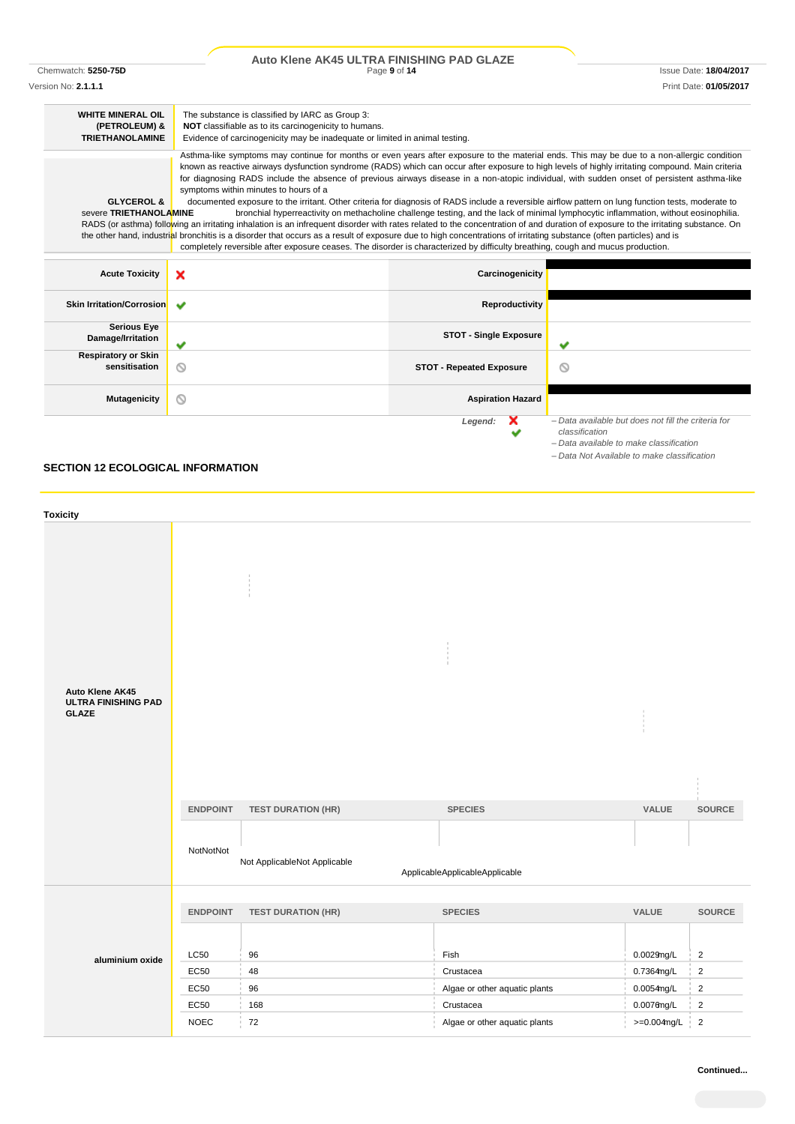|                                  | Auto Klene AK45 ULTRA FINISHING PAD GLAZE                                                                                                                                         |                                 |                                                                                                                                      |
|----------------------------------|-----------------------------------------------------------------------------------------------------------------------------------------------------------------------------------|---------------------------------|--------------------------------------------------------------------------------------------------------------------------------------|
| Chemwatch: 5250-75D              |                                                                                                                                                                                   | Page 9 of 14                    | <b>Issue Date: 18/04/2017</b>                                                                                                        |
| Version No: 2.1.1.1              |                                                                                                                                                                                   |                                 | Print Date: 01/05/2017                                                                                                               |
| <b>WHITE MINERAL OIL</b>         | The substance is classified by IARC as Group 3:                                                                                                                                   |                                 |                                                                                                                                      |
| (PETROLEUM) &                    | NOT classifiable as to its carcinogenicity to humans.                                                                                                                             |                                 |                                                                                                                                      |
| <b>TRIETHANOLAMINE</b>           | Evidence of carcinogenicity may be inadequate or limited in animal testing.                                                                                                       |                                 |                                                                                                                                      |
|                                  | Asthma-like symptoms may continue for months or even years after exposure to the material ends. This may be due to a non-allergic condition                                       |                                 |                                                                                                                                      |
|                                  | known as reactive airways dysfunction syndrome (RADS) which can occur after exposure to high levels of highly irritating compound. Main criteria                                  |                                 |                                                                                                                                      |
|                                  | for diagnosing RADS include the absence of previous airways disease in a non-atopic individual, with sudden onset of persistent asthma-like                                       |                                 |                                                                                                                                      |
|                                  | symptoms within minutes to hours of a                                                                                                                                             |                                 |                                                                                                                                      |
| <b>GLYCEROL &amp;</b>            | documented exposure to the irritant. Other criteria for diagnosis of RADS include a reversible airflow pattern on lung function tests, moderate to                                |                                 |                                                                                                                                      |
| severe TRIETHANOLAMINE           | RADS (or asthma) following an irritating inhalation is an infrequent disorder with rates related to the concentration of and duration of exposure to the irritating substance. On |                                 | bronchial hyperreactivity on methacholine challenge testing, and the lack of minimal lymphocytic inflammation, without eosinophilia. |
|                                  | the other hand, industrial bronchitis is a disorder that occurs as a result of exposure due to high concentrations of irritating substance (often particles) and is               |                                 |                                                                                                                                      |
|                                  | completely reversible after exposure ceases. The disorder is characterized by difficulty breathing, cough and mucus production.                                                   |                                 |                                                                                                                                      |
|                                  |                                                                                                                                                                                   |                                 |                                                                                                                                      |
| <b>Acute Toxicity</b>            | ×                                                                                                                                                                                 | Carcinogenicity                 |                                                                                                                                      |
| <b>Skin Irritation/Corrosion</b> | $\overline{\phantom{a}}$                                                                                                                                                          | Reproductivity                  |                                                                                                                                      |
|                                  |                                                                                                                                                                                   |                                 |                                                                                                                                      |
| <b>Serious Eye</b>               |                                                                                                                                                                                   |                                 |                                                                                                                                      |
| Damage/Irritation                | ✔                                                                                                                                                                                 | <b>STOT - Single Exposure</b>   | $\checkmark$                                                                                                                         |
| <b>Respiratory or Skin</b>       |                                                                                                                                                                                   |                                 |                                                                                                                                      |
| sensitisation                    | ◎                                                                                                                                                                                 | <b>STOT - Repeated Exposure</b> |                                                                                                                                      |
|                                  |                                                                                                                                                                                   |                                 |                                                                                                                                      |
| <b>Mutagenicity</b>              | ⊚                                                                                                                                                                                 | <b>Aspiration Hazard</b>        |                                                                                                                                      |
|                                  |                                                                                                                                                                                   |                                 |                                                                                                                                      |
|                                  |                                                                                                                                                                                   | Legend:                         | - Data available but does not fill the criteria for                                                                                  |
|                                  |                                                                                                                                                                                   |                                 | classification                                                                                                                       |

*– Data available to make classification – Data Not Available to make classification*

# **SECTION 12 ECOLOGICAL INFORMATION**

| <b>Toxicity</b>                                               |                              |                                                           |                                                  |                            |                |
|---------------------------------------------------------------|------------------------------|-----------------------------------------------------------|--------------------------------------------------|----------------------------|----------------|
| Auto Klene AK45<br><b>ULTRA FINISHING PAD</b><br><b>GLAZE</b> | <b>ENDPOINT</b><br>NotNotNot | <b>TEST DURATION (HR)</b><br>Not ApplicableNot Applicable | <b>SPECIES</b><br>ApplicableApplicableApplicable | VALUE                      | <b>SOURCE</b>  |
|                                                               | <b>ENDPOINT</b>              | <b>TEST DURATION (HR)</b>                                 | <b>SPECIES</b>                                   | VALUE                      | SOURCE         |
| aluminium oxide                                               | <b>LC50</b>                  | 96                                                        | Fish                                             | 0.0029mg/L                 | $\overline{2}$ |
|                                                               | EC50                         | 48                                                        | Crustacea                                        | 0.7364mg/L                 | $\overline{2}$ |
|                                                               | EC50                         | 96                                                        | Algae or other aquatic plants                    | 0.0054mg/L                 | $\sqrt{2}$     |
|                                                               | EC50                         | 168                                                       | Crustacea                                        | $0.0076$ mg/L              | $\overline{2}$ |
|                                                               | <b>NOEC</b>                  | 72                                                        | Algae or other aquatic plants                    | $>=0.004$ mg/L<br><b>J</b> | $\overline{2}$ |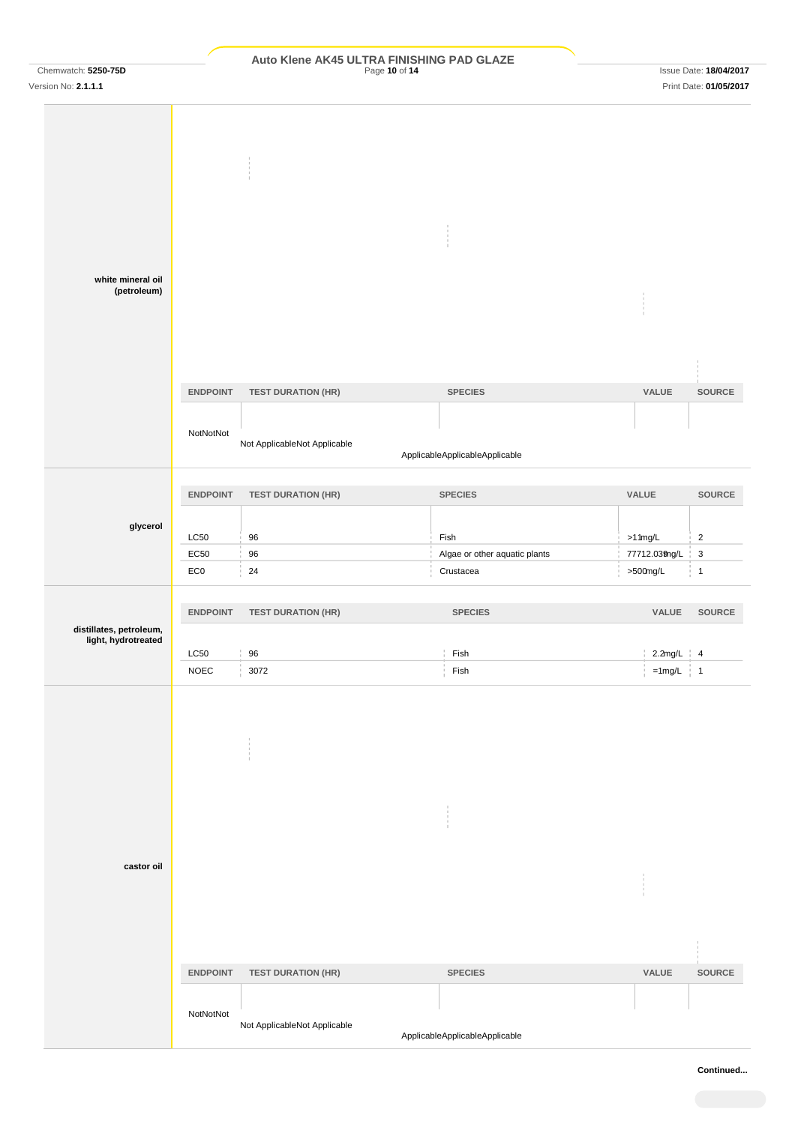# Chemwatch: **5250-75D** Page **10** of **14** Issue Date: **18/04/2017 Auto Klene AK45 ULTRA FINISHING PAD GLAZE**

| white mineral oil                              |                         |                              |                                            |                              |                               |
|------------------------------------------------|-------------------------|------------------------------|--------------------------------------------|------------------------------|-------------------------------|
| (petroleum)                                    |                         |                              |                                            |                              |                               |
|                                                |                         |                              |                                            |                              |                               |
|                                                | <b>ENDPOINT</b>         | <b>TEST DURATION (HR)</b>    | <b>SPECIES</b>                             | VALUE                        | SOURCE                        |
|                                                |                         |                              |                                            |                              |                               |
|                                                | NotNotNot               | Not ApplicableNot Applicable | ApplicableApplicableApplicable             |                              |                               |
|                                                |                         |                              |                                            |                              |                               |
|                                                | <b>ENDPOINT</b>         | <b>TEST DURATION (HR)</b>    | <b>SPECIES</b>                             | VALUE                        | SOURCE                        |
| glycerol                                       |                         |                              |                                            |                              |                               |
|                                                | LC50                    | 96                           | Fish                                       | $>11$ mg/L                   | $\sqrt{2}$                    |
|                                                | EC50<br>EC <sub>0</sub> | $96\,$<br>24                 | Algae or other aquatic plants<br>Crustacea | 77712.039ng/L<br>$>500$ mg/L | $\mathsf 3$<br>$\overline{1}$ |
|                                                |                         |                              |                                            |                              |                               |
|                                                | <b>ENDPOINT</b>         | <b>TEST DURATION (HR)</b>    | <b>SPECIES</b>                             | VALUE                        | <b>SOURCE</b>                 |
| distillates, petroleum,<br>light, hydrotreated |                         |                              |                                            |                              |                               |
|                                                | LC50                    | 96                           | Fish                                       | $2.2mg/L$ 4                  |                               |
|                                                | <b>NOEC</b>             | 3072                         | Fish                                       | $=1$ mg/L   1                |                               |
|                                                |                         |                              |                                            |                              |                               |
|                                                |                         |                              |                                            |                              |                               |
|                                                |                         |                              |                                            |                              |                               |
|                                                |                         |                              |                                            |                              |                               |
|                                                |                         |                              |                                            |                              |                               |
| castor oil                                     |                         |                              |                                            |                              |                               |
|                                                |                         |                              |                                            |                              |                               |
|                                                |                         |                              |                                            |                              |                               |
|                                                | ENDPOINT                | <b>TEST DURATION (HR)</b>    | <b>SPECIES</b>                             | VALUE                        | SOURCE                        |
|                                                | NotNotNot               |                              |                                            |                              |                               |
|                                                |                         | Not ApplicableNot Applicable | ApplicableApplicableApplicable             |                              |                               |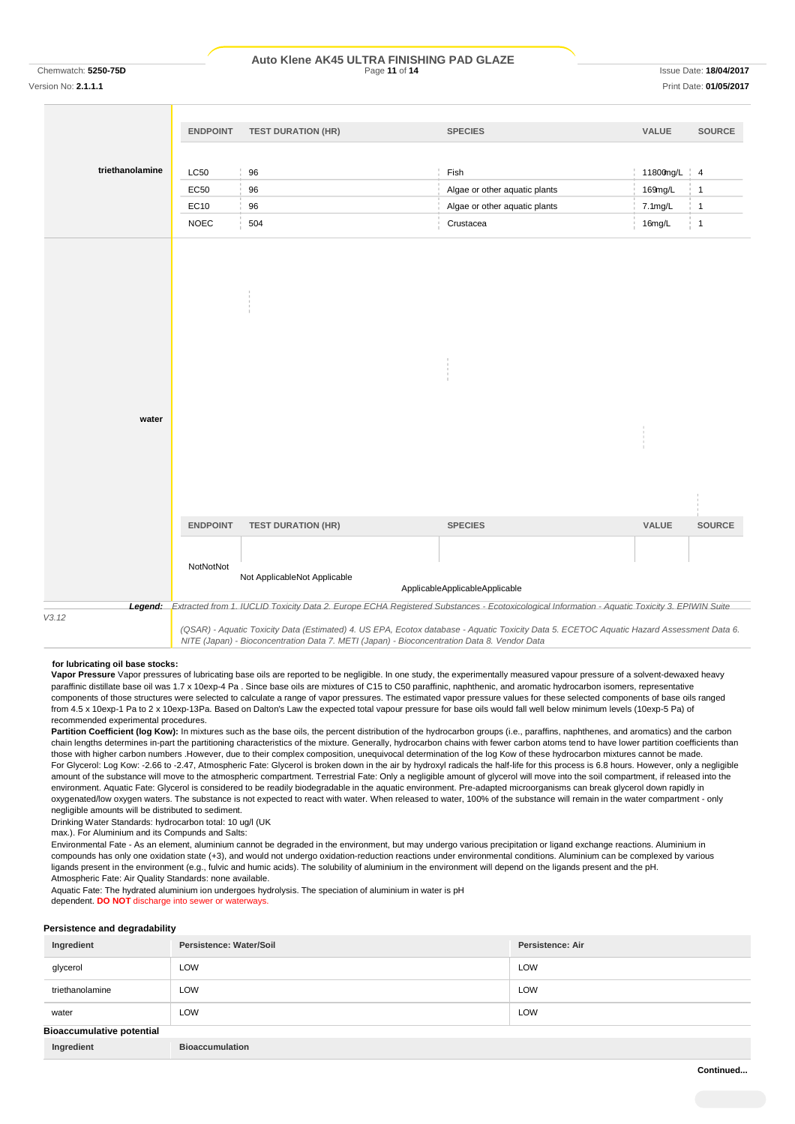#### Chemwatch: **5250-75D** Page **11** of **14** Issue Date: **18/04/2017 Auto Klene AK45 ULTRA FINISHING PAD GLAZE**

Version No: **2.1.1.1** Print Date: **01/05/2017**

|                 | <b>ENDPOINT</b>                                                                                                                           | <b>TEST DURATION (HR)</b>                                                                                                                             | <b>SPECIES</b>                 | VALUE     | SOURCE          |
|-----------------|-------------------------------------------------------------------------------------------------------------------------------------------|-------------------------------------------------------------------------------------------------------------------------------------------------------|--------------------------------|-----------|-----------------|
|                 |                                                                                                                                           |                                                                                                                                                       |                                |           |                 |
| triethanolamine | <b>LC50</b>                                                                                                                               | 96                                                                                                                                                    | Fish                           | 11800mg/L | $\frac{1}{2}$ 4 |
|                 | EC50                                                                                                                                      | 96                                                                                                                                                    | Algae or other aquatic plants  | 169mg/L   | $\mathbf{1}$    |
|                 | EC10                                                                                                                                      | 96                                                                                                                                                    | Algae or other aquatic plants  | 7.1mg/L   | $\mathbf{1}$    |
|                 | <b>NOEC</b>                                                                                                                               | 504                                                                                                                                                   | Crustacea                      | 16mg/L    | $\frac{1}{2}$ 1 |
|                 |                                                                                                                                           |                                                                                                                                                       |                                |           |                 |
|                 |                                                                                                                                           |                                                                                                                                                       |                                |           |                 |
|                 |                                                                                                                                           |                                                                                                                                                       |                                |           |                 |
|                 |                                                                                                                                           |                                                                                                                                                       |                                |           |                 |
|                 |                                                                                                                                           |                                                                                                                                                       |                                |           |                 |
|                 |                                                                                                                                           |                                                                                                                                                       |                                |           |                 |
|                 |                                                                                                                                           |                                                                                                                                                       |                                |           |                 |
|                 |                                                                                                                                           |                                                                                                                                                       |                                |           |                 |
|                 |                                                                                                                                           |                                                                                                                                                       |                                |           |                 |
|                 |                                                                                                                                           |                                                                                                                                                       |                                |           |                 |
| water           |                                                                                                                                           |                                                                                                                                                       |                                |           |                 |
|                 |                                                                                                                                           |                                                                                                                                                       |                                |           |                 |
|                 |                                                                                                                                           |                                                                                                                                                       |                                |           |                 |
|                 |                                                                                                                                           |                                                                                                                                                       |                                |           |                 |
|                 |                                                                                                                                           |                                                                                                                                                       |                                |           |                 |
|                 | <b>ENDPOINT</b>                                                                                                                           | <b>TEST DURATION (HR)</b>                                                                                                                             | <b>SPECIES</b>                 | VALUE     | SOURCE          |
|                 |                                                                                                                                           |                                                                                                                                                       |                                |           |                 |
|                 | NotNotNot                                                                                                                                 |                                                                                                                                                       |                                |           |                 |
|                 |                                                                                                                                           | Not ApplicableNot Applicable                                                                                                                          |                                |           |                 |
|                 |                                                                                                                                           |                                                                                                                                                       | ApplicableApplicableApplicable |           |                 |
| V3.12           |                                                                                                                                           | Legend: Extracted from 1. IUCLID Toxicity Data 2. Europe ECHA Registered Substances - Ecotoxicological Information - Aquatic Toxicity 3. EPIWIN Suite |                                |           |                 |
|                 | (QSAR) - Aquatic Toxicity Data (Estimated) 4. US EPA, Ecotox database - Aquatic Toxicity Data 5. ECETOC Aquatic Hazard Assessment Data 6. |                                                                                                                                                       |                                |           |                 |

#### **for lubricating oil base stocks:**

**Vapor Pressure** Vapor pressures of lubricating base oils are reported to be negligible. In one study, the experimentally measured vapour pressure of a solvent-dewaxed heavy paraffinic distillate base oil was 1.7 x 10exp-4 Pa . Since base oils are mixtures of C15 to C50 paraffinic, naphthenic, and aromatic hydrocarbon isomers, representative components of those structures were selected to calculate a range of vapor pressures. The estimated vapor pressure values for these selected components of base oils ranged from 4.5 x 10exp-1 Pa to 2 x 10exp-13Pa. Based on Dalton's Law the expected total vapour pressure for base oils would fall well below minimum levels (10exp-5 Pa) of recommended experimental procedures.

*NITE (Japan) - Bioconcentration Data 7. METI (Japan) - Bioconcentration Data 8. Vendor Data*

Partition Coefficient (log Kow): In mixtures such as the base oils, the percent distribution of the hydrocarbon groups (i.e., paraffins, naphthenes, and aromatics) and the carbon chain lengths determines in-part the partitioning characteristics of the mixture. Generally, hydrocarbon chains with fewer carbon atoms tend to have lower partition coefficients than those with higher carbon numbers .However, due to their complex composition, unequivocal determination of the log Kow of these hydrocarbon mixtures cannot be made. For Glycerol: Log Kow: -2.66 to -2.47, Atmospheric Fate: Glycerol is broken down in the air by hydroxyl radicals the half-life for this process is 6.8 hours. However, only a negligible amount of the substance will move to the atmospheric compartment. Terrestrial Fate: Only a negligible amount of glycerol will move into the soil compartment, if released into the environment. Aquatic Fate: Glycerol is considered to be readily biodegradable in the aquatic environment. Pre-adapted microorganisms can break glycerol down rapidly in oxygenated/low oxygen waters. The substance is not expected to react with water. When released to water, 100% of the substance will remain in the water compartment - only negligible amounts will be distributed to sediment.

Drinking Water Standards: hydrocarbon total: 10 ug/l (UK

max.). For Aluminium and its Compunds and Salts:

Environmental Fate - As an element, aluminium cannot be degraded in the environment, but may undergo various precipitation or ligand exchange reactions. Aluminium in compounds has only one oxidation state (+3), and would not undergo oxidation-reduction reactions under environmental conditions. Aluminium can be complexed by various ligands present in the environment (e.g., fulvic and humic acids). The solubility of aluminium in the environment will depend on the ligands present and the pH. Atmospheric Fate: Air Quality Standards: none available.

Aquatic Fate: The hydrated aluminium ion undergoes hydrolysis. The speciation of aluminium in water is pH

dependent. **DO NOT** discharge into sewer or waterways.

#### **Persistence and degradability**

| Ingredient                       | Persistence: Water/Soil | <b>Persistence: Air</b> |
|----------------------------------|-------------------------|-------------------------|
| glycerol                         | LOW                     | LOW                     |
| triethanolamine                  | LOW                     | LOW                     |
| water                            | LOW                     | LOW                     |
| <b>Bioaccumulative potential</b> |                         |                         |
| Ingredient                       | <b>Bioaccumulation</b>  |                         |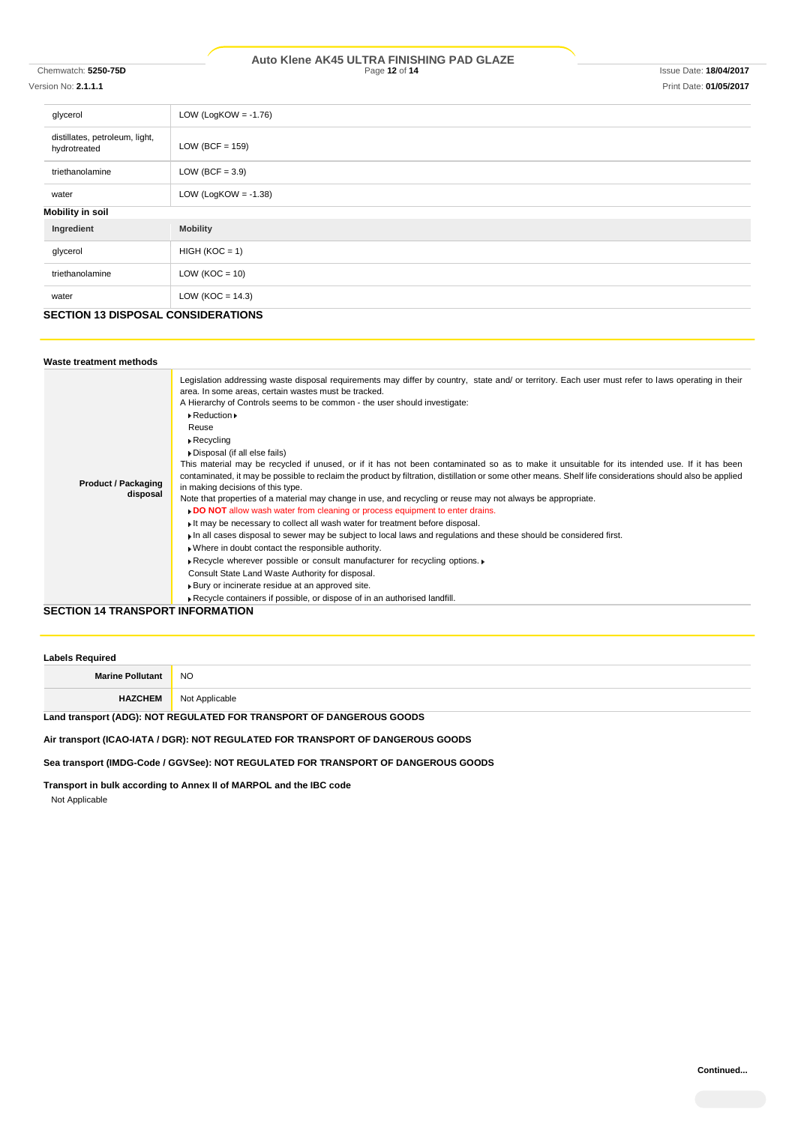#### Chemwatch: **5250-75D** Page **12** of **14** Issue Date: **18/04/2017 Auto Klene AK45 ULTRA FINISHING PAD GLAZE**

# Version No: **2.1.1.1** Print Date: **01/05/2017**

| glycerol                                       | LOW (LogKOW = $-1.76$ ) |
|------------------------------------------------|-------------------------|
| distillates, petroleum, light,<br>hydrotreated | LOW (BCF = $159$ )      |
| triethanolamine                                | LOW (BCF = $3.9$ )      |
| water                                          | LOW (LogKOW = $-1.38$ ) |
| <b>Mobility in soil</b>                        |                         |
| Ingredient                                     | <b>Mobility</b>         |
| glycerol                                       | $HIGH (KOC = 1)$        |
| triethanolamine                                | LOW ( $KOC = 10$ )      |
| water                                          | LOW ( $KOC = 14.3$ )    |

# **SECTION 13 DISPOSAL CONSIDERATIONS**

| Waste treatment methods                 |                                                                                                                                                                                                                                                                                                                                                                                                                                                                                                                                                                                                                                                                                                                                                                                                                                                                                                                                                                                                                                                                                                                                                                                                                                                                                                                                                                                                                                                                                                  |
|-----------------------------------------|--------------------------------------------------------------------------------------------------------------------------------------------------------------------------------------------------------------------------------------------------------------------------------------------------------------------------------------------------------------------------------------------------------------------------------------------------------------------------------------------------------------------------------------------------------------------------------------------------------------------------------------------------------------------------------------------------------------------------------------------------------------------------------------------------------------------------------------------------------------------------------------------------------------------------------------------------------------------------------------------------------------------------------------------------------------------------------------------------------------------------------------------------------------------------------------------------------------------------------------------------------------------------------------------------------------------------------------------------------------------------------------------------------------------------------------------------------------------------------------------------|
| <b>Product / Packaging</b><br>disposal  | Legislation addressing waste disposal requirements may differ by country, state and/ or territory. Each user must refer to laws operating in their<br>area. In some areas, certain wastes must be tracked.<br>A Hierarchy of Controls seems to be common - the user should investigate:<br>$\triangleright$ Reduction $\triangleright$<br>Reuse<br>$\triangleright$ Recycling<br>Disposal (if all else fails)<br>This material may be recycled if unused, or if it has not been contaminated so as to make it unsuitable for its intended use. If it has been<br>contaminated, it may be possible to reclaim the product by filtration, distillation or some other means. Shelf life considerations should also be applied<br>in making decisions of this type.<br>Note that properties of a material may change in use, and recycling or reuse may not always be appropriate.<br>DO NOT allow wash water from cleaning or process equipment to enter drains.<br>If may be necessary to collect all wash water for treatment before disposal.<br>I in all cases disposal to sewer may be subject to local laws and regulations and these should be considered first.<br>. Where in doubt contact the responsible authority.<br>▶ Recycle wherever possible or consult manufacturer for recycling options. ▶<br>Consult State Land Waste Authority for disposal.<br>▶ Bury or incinerate residue at an approved site.<br>Recycle containers if possible, or dispose of in an authorised landfill. |
| <b>SECTION 14 TRANSPORT INFORMATION</b> |                                                                                                                                                                                                                                                                                                                                                                                                                                                                                                                                                                                                                                                                                                                                                                                                                                                                                                                                                                                                                                                                                                                                                                                                                                                                                                                                                                                                                                                                                                  |

| <b>Labels Required</b>  |                |  |
|-------------------------|----------------|--|
| <b>Marine Pollutant</b> | <b>NO</b>      |  |
| <b>HAZCHEM</b>          | Not Applicable |  |

# **Land transport (ADG): NOT REGULATED FOR TRANSPORT OF DANGEROUS GOODS**

# **Air transport (ICAO-IATA / DGR): NOT REGULATED FOR TRANSPORT OF DANGEROUS GOODS**

**Sea transport (IMDG-Code / GGVSee): NOT REGULATED FOR TRANSPORT OF DANGEROUS GOODS**

**Transport in bulk according to Annex II of MARPOL and the IBC code**

Not Applicable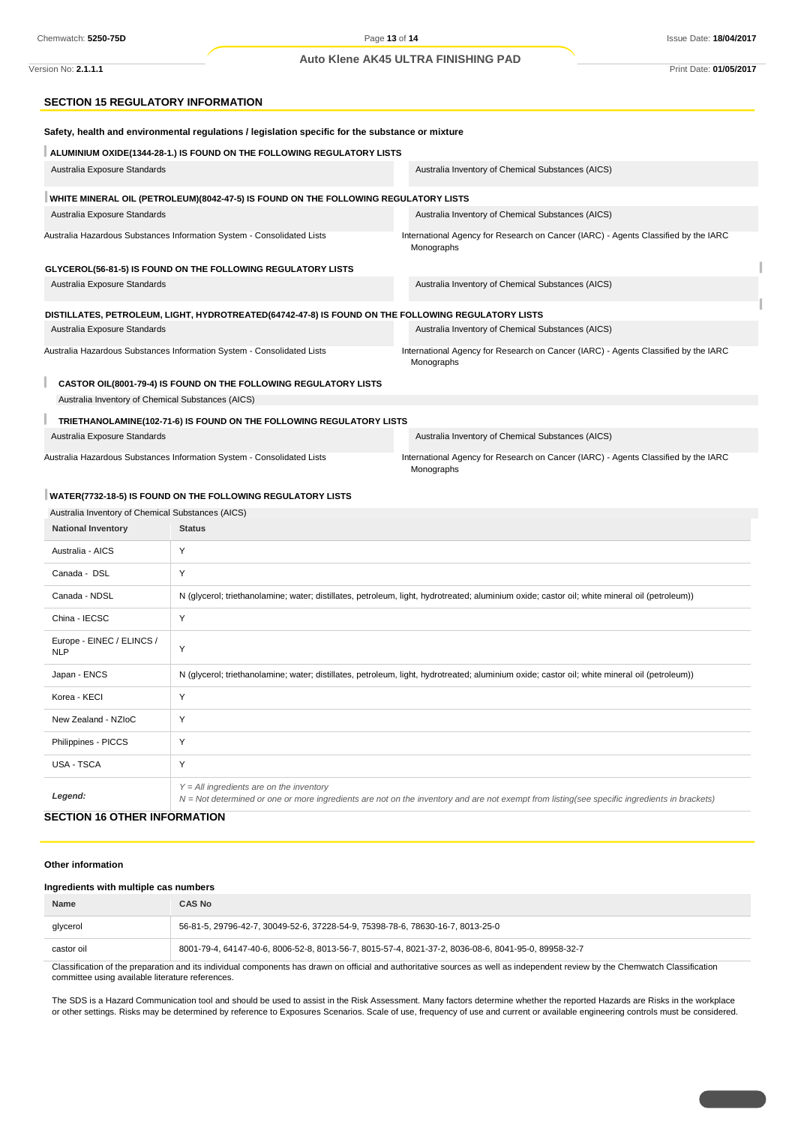#### **Auto Klene AK45 ULTRA FINISHING PAD**

## **SECTION 15 REGULATORY INFORMATION**

| Safety, health and environmental regulations / legislation specific for the substance or mixture |                                                                                                                                                                            |                                                                                                                                               |
|--------------------------------------------------------------------------------------------------|----------------------------------------------------------------------------------------------------------------------------------------------------------------------------|-----------------------------------------------------------------------------------------------------------------------------------------------|
|                                                                                                  | ALUMINIUM OXIDE(1344-28-1.) IS FOUND ON THE FOLLOWING REGULATORY LISTS                                                                                                     |                                                                                                                                               |
| Australia Exposure Standards                                                                     |                                                                                                                                                                            | Australia Inventory of Chemical Substances (AICS)                                                                                             |
|                                                                                                  | WHITE MINERAL OIL (PETROLEUM)(8042-47-5) IS FOUND ON THE FOLLOWING REGULATORY LISTS                                                                                        |                                                                                                                                               |
| Australia Exposure Standards                                                                     |                                                                                                                                                                            | Australia Inventory of Chemical Substances (AICS)                                                                                             |
|                                                                                                  | Australia Hazardous Substances Information System - Consolidated Lists                                                                                                     | International Agency for Research on Cancer (IARC) - Agents Classified by the IARC<br>Monographs                                              |
|                                                                                                  | GLYCEROL(56-81-5) IS FOUND ON THE FOLLOWING REGULATORY LISTS                                                                                                               |                                                                                                                                               |
| Australia Exposure Standards                                                                     |                                                                                                                                                                            | Australia Inventory of Chemical Substances (AICS)                                                                                             |
|                                                                                                  | DISTILLATES, PETROLEUM, LIGHT, HYDROTREATED(64742-47-8) IS FOUND ON THE FOLLOWING REGULATORY LISTS                                                                         |                                                                                                                                               |
| Australia Exposure Standards                                                                     |                                                                                                                                                                            | Australia Inventory of Chemical Substances (AICS)                                                                                             |
|                                                                                                  | Australia Hazardous Substances Information System - Consolidated Lists                                                                                                     | International Agency for Research on Cancer (IARC) - Agents Classified by the IARC<br>Monographs                                              |
|                                                                                                  | CASTOR OIL(8001-79-4) IS FOUND ON THE FOLLOWING REGULATORY LISTS                                                                                                           |                                                                                                                                               |
| Australia Inventory of Chemical Substances (AICS)                                                |                                                                                                                                                                            |                                                                                                                                               |
|                                                                                                  | TRIETHANOLAMINE(102-71-6) IS FOUND ON THE FOLLOWING REGULATORY LISTS                                                                                                       |                                                                                                                                               |
| Australia Exposure Standards                                                                     |                                                                                                                                                                            | Australia Inventory of Chemical Substances (AICS)                                                                                             |
|                                                                                                  | Australia Hazardous Substances Information System - Consolidated Lists<br>International Agency for Research on Cancer (IARC) - Agents Classified by the IARC<br>Monographs |                                                                                                                                               |
|                                                                                                  | WATER(7732-18-5) IS FOUND ON THE FOLLOWING REGULATORY LISTS                                                                                                                |                                                                                                                                               |
| Australia Inventory of Chemical Substances (AICS)                                                |                                                                                                                                                                            |                                                                                                                                               |
| <b>National Inventory</b>                                                                        | <b>Status</b>                                                                                                                                                              |                                                                                                                                               |
| Australia - AICS                                                                                 | Υ                                                                                                                                                                          |                                                                                                                                               |
| Canada - DSL                                                                                     | Υ                                                                                                                                                                          |                                                                                                                                               |
| Canada - NDSL                                                                                    |                                                                                                                                                                            | N (glycerol; triethanolamine; water; distillates, petroleum, light, hydrotreated; aluminium oxide; castor oil; white mineral oil (petroleum)) |
| China - IECSC                                                                                    | Υ                                                                                                                                                                          |                                                                                                                                               |
| Europe - EINEC / ELINCS /<br><b>NLP</b>                                                          | Υ                                                                                                                                                                          |                                                                                                                                               |
| Japan - ENCS                                                                                     |                                                                                                                                                                            | N (glycerol; triethanolamine; water; distillates, petroleum, light, hydrotreated; aluminium oxide; castor oil; white mineral oil (petroleum)) |
| Korea - KECI                                                                                     | Υ                                                                                                                                                                          |                                                                                                                                               |
| New Zealand - NZIoC                                                                              | Y                                                                                                                                                                          |                                                                                                                                               |
| Philippines - PICCS                                                                              | Y                                                                                                                                                                          |                                                                                                                                               |
| USA - TSCA                                                                                       | Y                                                                                                                                                                          |                                                                                                                                               |
| Legend:                                                                                          | $Y = All$ ingredients are on the inventory                                                                                                                                 | N = Not determined or one or more ingredients are not on the inventory and are not exempt from listing(see specific ingredients in brackets)  |
| <b>SECTION 16 OTHER INFORMATION</b>                                                              |                                                                                                                                                                            |                                                                                                                                               |

#### **Other information**

#### **Ingredients with multiple cas numbers**

| <b>Name</b>                                                                                                                                                                    | <b>CAS No</b>                                                                                       |
|--------------------------------------------------------------------------------------------------------------------------------------------------------------------------------|-----------------------------------------------------------------------------------------------------|
| glycerol                                                                                                                                                                       | 56-81-5, 29796-42-7, 30049-52-6, 37228-54-9, 75398-78-6, 78630-16-7, 8013-25-0                      |
| castor oil                                                                                                                                                                     | 8001-79-4, 64147-40-6, 8006-52-8, 8013-56-7, 8015-57-4, 8021-37-2, 8036-08-6, 8041-95-0, 89958-32-7 |
| Classification of the preparation and its individual companante has drown an official and outboritative equation as well as independent review by the Chamuatab Classification |                                                                                                     |

ation of the preparation and its individual components has drawn on official and authoritative sources as well as independent review by the Chemwatch Classification committee using available literature references.

The SDS is a Hazard Communication tool and should be used to assist in the Risk Assessment. Many factors determine whether the reported Hazards are Risks in the workplace or other settings. Risks may be determined by reference to Exposures Scenarios. Scale of use, frequency of use and current or available engineering controls must be considered.